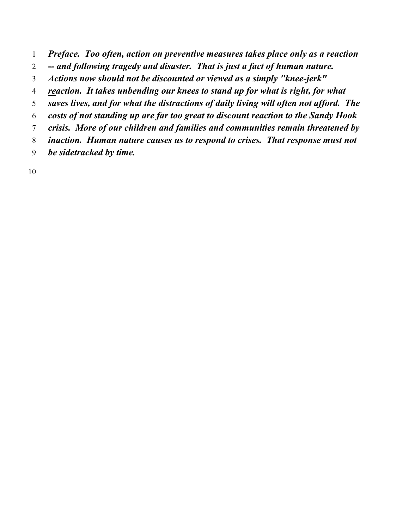- *Preface. Too often, action on preventive measures takes place only as a reaction*
- *-- and following tragedy and disaster. That is just a fact of human nature.*
- *Actions now should not be discounted or viewed as a simply "knee-jerk"*
- *reaction. It takes unbending our knees to stand up for what is right, for what*
- *saves lives, and for what the distractions of daily living will often not afford. The*
- *costs of not standing up are far too great to discount reaction to the Sandy Hook*
- *crisis. More of our children and families and communities remain threatened by*
- *inaction. Human nature causes us to respond to crises. That response must not*
- *be sidetracked by time.*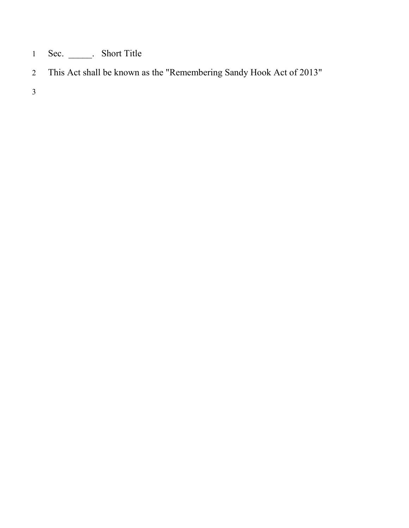- Sec. \_\_\_\_\_. Short Title
- This Act shall be known as the "Remembering Sandy Hook Act of 2013"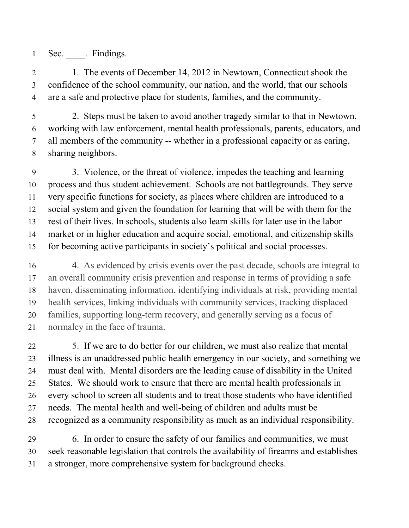1 Sec. Findings.

2 1. The events of December 14, 2012 in Newtown, Connecticut shook the confidence of the school community, our nation, and the world, that our schools are a safe and protective place for students, families, and the community.

 2. Steps must be taken to avoid another tragedy similar to that in Newtown, working with law enforcement, mental health professionals, parents, educators, and all members of the community -- whether in a professional capacity or as caring, sharing neighbors.

 3. Violence, or the threat of violence, impedes the teaching and learning process and thus student achievement. Schools are not battlegrounds. They serve very specific functions for society, as places where children are introduced to a social system and given the foundation for learning that will be with them for the rest of their lives. In schools, students also learn skills for later use in the labor market or in higher education and acquire social, emotional, and citizenship skills for becoming active participants in society's political and social processes.

 4. As evidenced by crisis events over the past decade, schools are integral to an overall community crisis prevention and response in terms of providing a safe haven, disseminating information, identifying individuals at risk, providing mental health services, linking individuals with community services, tracking displaced families, supporting long-term recovery, and generally serving as a focus of normalcy in the face of trauma.

 5. If we are to do better for our children, we must also realize that mental illness is an unaddressed public health emergency in our society, and something we must deal with. Mental disorders are the leading cause of disability in the United States. We should work to ensure that there are mental health professionals in every school to screen all students and to treat those students who have identified needs. The mental health and well-being of children and adults must be recognized as a community responsibility as much as an individual responsibility.

 6. In order to ensure the safety of our families and communities, we must seek reasonable legislation that controls the availability of firearms and establishes a stronger, more comprehensive system for background checks.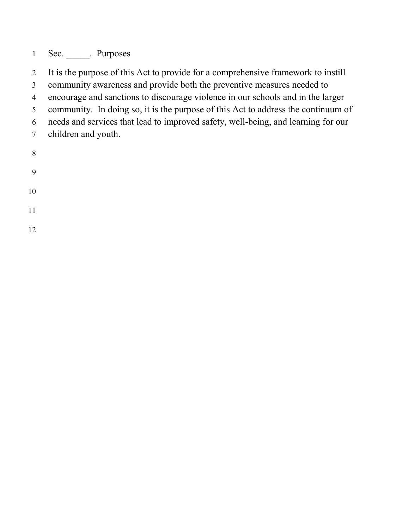1 Sec. Purposes

It is the purpose of this Act to provide for a comprehensive framework to instill

community awareness and provide both the preventive measures needed to

encourage and sanctions to discourage violence in our schools and in the larger

community. In doing so, it is the purpose of this Act to address the continuum of

needs and services that lead to improved safety, well-being, and learning for our

- children and youth.
- 
- 
- 
- 
- 
-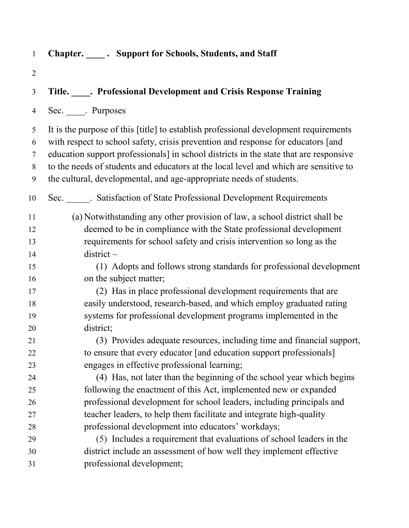| $\mathbf{1}$   | Chapter. _____. Support for Schools, Students, and Staff                              |
|----------------|---------------------------------------------------------------------------------------|
| $\overline{2}$ |                                                                                       |
| 3              | Title. Professional Development and Crisis Response Training                          |
| 4              | Sec. _____. Purposes                                                                  |
| 5              | It is the purpose of this [title] to establish professional development requirements  |
| 6              | with respect to school safety, crisis prevention and response for educators [and      |
| 7              | education support professionals] in school districts in the state that are responsive |
| 8              | to the needs of students and educators at the local level and which are sensitive to  |
| 9              | the cultural, developmental, and age-appropriate needs of students.                   |
| 10             | Sec. ______. Satisfaction of State Professional Development Requirements              |
| 11             | (a) Notwithstanding any other provision of law, a school district shall be            |
| 12             | deemed to be in compliance with the State professional development                    |
| 13             | requirements for school safety and crisis intervention so long as the                 |
| 14             | $district -$                                                                          |
| 15             | (1) Adopts and follows strong standards for professional development                  |
| 16             | on the subject matter;                                                                |
| 17             | (2) Has in place professional development requirements that are                       |
| 18             | easily understood, research-based, and which employ graduated rating                  |
| 19             | systems for professional development programs implemented in the                      |
| 20             | district;                                                                             |
| 21             | (3) Provides adequate resources, including time and financial support,                |
| 22             | to ensure that every educator [and education support professionals]                   |
| 23             | engages in effective professional learning;                                           |
| 24             | (4) Has, not later than the beginning of the school year which begins                 |
| 25             | following the enactment of this Act, implemented new or expanded                      |
| 26             | professional development for school leaders, including principals and                 |
| 27             | teacher leaders, to help them facilitate and integrate high-quality                   |
| 28             | professional development into educators' workdays;                                    |
| 29             | (5) Includes a requirement that evaluations of school leaders in the                  |
| 30             | district include an assessment of how well they implement effective                   |
| 31             | professional development;                                                             |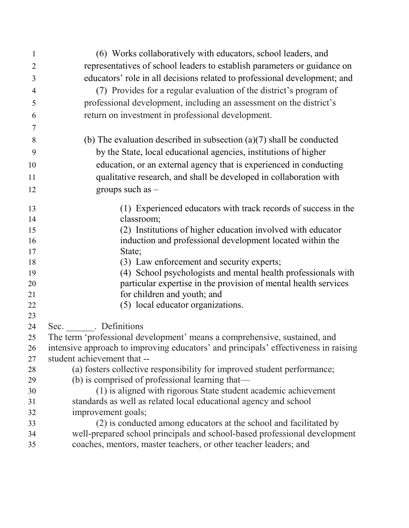| $\mathbf{1}$   | (6) Works collaboratively with educators, school leaders, and                                                                    |
|----------------|----------------------------------------------------------------------------------------------------------------------------------|
| $\overline{2}$ | representatives of school leaders to establish parameters or guidance on                                                         |
| 3              | educators' role in all decisions related to professional development; and                                                        |
| $\overline{4}$ | (7) Provides for a regular evaluation of the district's program of                                                               |
| 5              | professional development, including an assessment on the district's                                                              |
| 6              | return on investment in professional development.                                                                                |
| 7              |                                                                                                                                  |
| 8              | (b) The evaluation described in subsection $(a)(7)$ shall be conducted                                                           |
| 9              | by the State, local educational agencies, institutions of higher                                                                 |
| 10             | education, or an external agency that is experienced in conducting                                                               |
| 11             | qualitative research, and shall be developed in collaboration with                                                               |
| 12             | groups such as $-$                                                                                                               |
|                |                                                                                                                                  |
| 13             | (1) Experienced educators with track records of success in the                                                                   |
| 14             | classroom;                                                                                                                       |
| 15             | (2) Institutions of higher education involved with educator                                                                      |
| 16             | induction and professional development located within the                                                                        |
| 17             | State;                                                                                                                           |
| 18             | (3) Law enforcement and security experts;                                                                                        |
| 19<br>20       | (4) School psychologists and mental health professionals with<br>particular expertise in the provision of mental health services |
| 21             | for children and youth; and                                                                                                      |
| 22             | (5) local educator organizations.                                                                                                |
| 23             |                                                                                                                                  |
| 24             | Sec. Definitions                                                                                                                 |
| 25             | The term 'professional development' means a comprehensive, sustained, and                                                        |
| 26             | intensive approach to improving educators' and principals' effectiveness in raising                                              |
| 27             | student achievement that --                                                                                                      |
| 28             | (a) fosters collective responsibility for improved student performance;                                                          |
| 29             | (b) is comprised of professional learning that—                                                                                  |
| 30             | (1) is aligned with rigorous State student academic achievement                                                                  |
| 31             | standards as well as related local educational agency and school                                                                 |
| 32             | improvement goals;                                                                                                               |
| 33             | (2) is conducted among educators at the school and facilitated by                                                                |
| 34             | well-prepared school principals and school-based professional development                                                        |
| 35             | coaches, mentors, master teachers, or other teacher leaders; and                                                                 |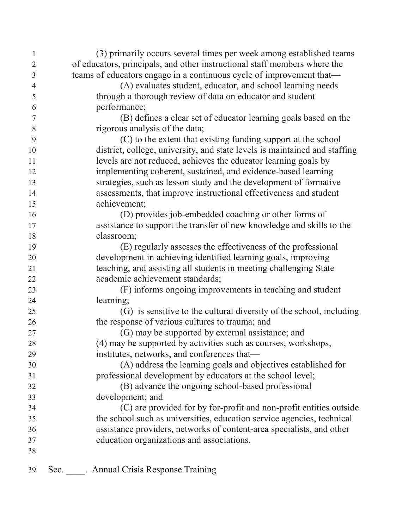| $\mathbf{1}$   | (3) primarily occurs several times per week among established teams        |
|----------------|----------------------------------------------------------------------------|
| $\overline{2}$ | of educators, principals, and other instructional staff members where the  |
| 3              | teams of educators engage in a continuous cycle of improvement that—       |
| $\overline{4}$ | (A) evaluates student, educator, and school learning needs                 |
| 5              | through a thorough review of data on educator and student                  |
| 6              | performance;                                                               |
| $\overline{7}$ | (B) defines a clear set of educator learning goals based on the            |
| 8              | rigorous analysis of the data;                                             |
| 9              | (C) to the extent that existing funding support at the school              |
| 10             | district, college, university, and state levels is maintained and staffing |
| 11             | levels are not reduced, achieves the educator learning goals by            |
| 12             | implementing coherent, sustained, and evidence-based learning              |
| 13             | strategies, such as lesson study and the development of formative          |
| 14             | assessments, that improve instructional effectiveness and student          |
| 15             | achievement;                                                               |
| 16             | (D) provides job-embedded coaching or other forms of                       |
| 17             | assistance to support the transfer of new knowledge and skills to the      |
| 18             | classroom;                                                                 |
| 19             | (E) regularly assesses the effectiveness of the professional               |
| 20             | development in achieving identified learning goals, improving              |
| 21             | teaching, and assisting all students in meeting challenging State          |
| 22             | academic achievement standards;                                            |
| 23             | (F) informs ongoing improvements in teaching and student                   |
| 24             | learning;                                                                  |
| 25             | (G) is sensitive to the cultural diversity of the school, including        |
| 26             | the response of various cultures to trauma; and                            |
| 27             | (G) may be supported by external assistance; and                           |
| 28             | (4) may be supported by activities such as courses, workshops.             |
| 29             | institutes, networks, and conferences that—                                |
| 30             | (A) address the learning goals and objectives established for              |
| 31             | professional development by educators at the school level;                 |
| 32             | (B) advance the ongoing school-based professional                          |
| 33             | development; and                                                           |
| 34             | (C) are provided for by for-profit and non-profit entities outside         |
| 35             | the school such as universities, education service agencies, technical     |
| 36             | assistance providers, networks of content-area specialists, and other      |
| 37             | education organizations and associations.                                  |
| 38             |                                                                            |
| 39             | <b>Annual Crisis Response Training</b><br>Sec.                             |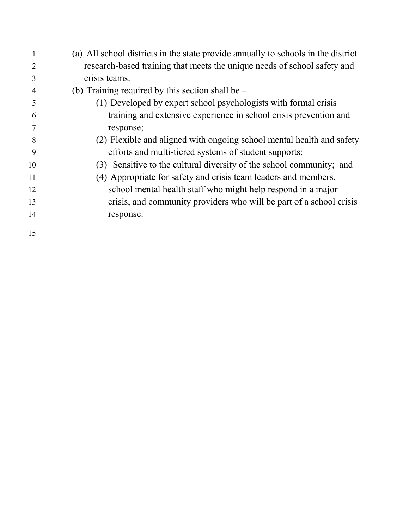|    | (a) All school districts in the state provide annually to schools in the district |
|----|-----------------------------------------------------------------------------------|
|    | research-based training that meets the unique needs of school safety and          |
| 3  | crisis teams.                                                                     |
| 4  | (b) Training required by this section shall be $-$                                |
| 5  | (1) Developed by expert school psychologists with formal crisis                   |
| 6  | training and extensive experience in school crisis prevention and                 |
|    | response;                                                                         |
| 8  | (2) Flexible and aligned with ongoing school mental health and safety             |
| 9  | efforts and multi-tiered systems of student supports;                             |
| 10 | (3) Sensitive to the cultural diversity of the school community; and              |
| 11 | (4) Appropriate for safety and crisis team leaders and members,                   |
| 12 | school mental health staff who might help respond in a major                      |
| 13 | crisis, and community providers who will be part of a school crisis               |
| 14 | response.                                                                         |
| 15 |                                                                                   |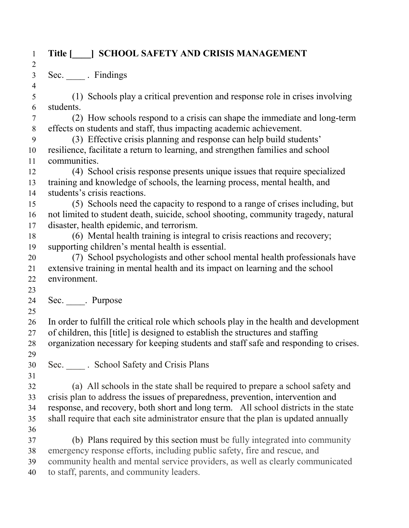## **Title [\_\_\_\_] SCHOOL SAFETY AND CRISIS MANAGEMENT**

Sec. \_\_\_\_ . Findings

 (1) Schools play a critical prevention and response role in crises involving students. (2) How schools respond to a crisis can shape the immediate and long-term effects on students and staff, thus impacting academic achievement. (3) Effective crisis planning and response can help build students' resilience, facilitate a return to learning, and strengthen families and school communities. (4) School crisis response presents unique issues that require specialized training and knowledge of schools, the learning process, mental health, and students's crisis reactions. (5) Schools need the capacity to respond to a range of crises including, but not limited to student death, suicide, school shooting, community tragedy, natural disaster, health epidemic, and terrorism. (6) Mental health training is integral to crisis reactions and recovery; supporting children's mental health is essential. (7) School psychologists and other school mental health professionals have extensive training in mental health and its impact on learning and the school environment. 24 Sec. Purpose In order to fulfill the critical role which schools play in the health and development of children, this [title] is designed to establish the structures and staffing organization necessary for keeping students and staff safe and responding to crises. Sec. \_\_\_\_ . School Safety and Crisis Plans (a) All schools in the state shall be required to prepare a school safety and crisis plan to address the issues of preparedness, prevention, intervention and response, and recovery, both short and long term. All school districts in the state shall require that each site administrator ensure that the plan is updated annually (b) Plans required by this section must be fully integrated into community emergency response efforts, including public safety, fire and rescue, and community health and mental service providers, as well as clearly communicated to staff, parents, and community leaders.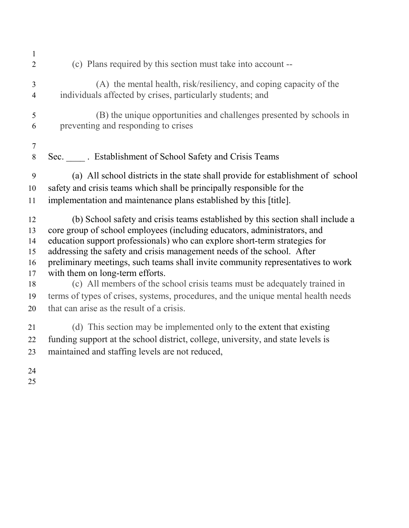| $\mathbf{1}$<br>$\overline{2}$ | (c) Plans required by this section must take into account --                                                                                               |
|--------------------------------|------------------------------------------------------------------------------------------------------------------------------------------------------------|
| 3<br>$\overline{4}$            | (A) the mental health, risk/resiliency, and coping capacity of the<br>individuals affected by crises, particularly students; and                           |
| 5<br>6                         | (B) the unique opportunities and challenges presented by schools in<br>preventing and responding to crises                                                 |
| $\tau$<br>8                    | Sec. ______. Establishment of School Safety and Crisis Teams                                                                                               |
| 9                              | (a) All school districts in the state shall provide for establishment of school                                                                            |
| 10<br>11                       | safety and crisis teams which shall be principally responsible for the<br>implementation and maintenance plans established by this [title].                |
|                                |                                                                                                                                                            |
| 12<br>13                       | (b) School safety and crisis teams established by this section shall include a<br>core group of school employees (including educators, administrators, and |
| 14                             | education support professionals) who can explore short-term strategies for                                                                                 |
| 15                             | addressing the safety and crisis management needs of the school. After                                                                                     |
| 16                             | preliminary meetings, such teams shall invite community representatives to work                                                                            |
| 17<br>18                       | with them on long-term efforts.<br>(c) All members of the school crisis teams must be adequately trained in                                                |
| 19                             | terms of types of crises, systems, procedures, and the unique mental health needs                                                                          |
| 20                             | that can arise as the result of a crisis.                                                                                                                  |
| 21                             | (d) This section may be implemented only to the extent that existing                                                                                       |
| 22                             | funding support at the school district, college, university, and state levels is                                                                           |
| 23                             | maintained and staffing levels are not reduced,                                                                                                            |
| 24                             |                                                                                                                                                            |
| 25                             |                                                                                                                                                            |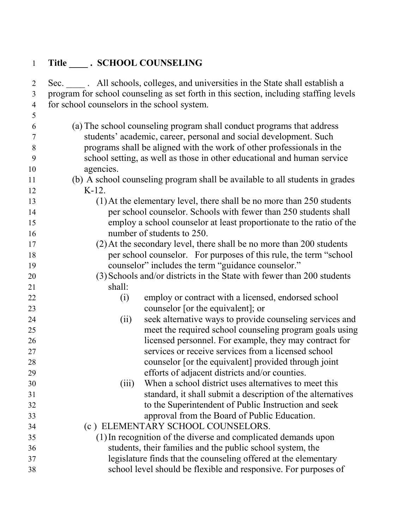| $\mathbf{1}$        | Title ______. SCHOOL COUNSELING                                                                                                                                      |
|---------------------|----------------------------------------------------------------------------------------------------------------------------------------------------------------------|
| $\overline{2}$<br>3 | Sec. All schools, colleges, and universities in the State shall establish a<br>program for school counseling as set forth in this section, including staffing levels |
| $\overline{4}$      | for school counselors in the school system.                                                                                                                          |
| 5                   |                                                                                                                                                                      |
| 6                   | (a) The school counseling program shall conduct programs that address                                                                                                |
| $\tau$              | students' academic, career, personal and social development. Such                                                                                                    |
| 8                   | programs shall be aligned with the work of other professionals in the                                                                                                |
| 9                   | school setting, as well as those in other educational and human service                                                                                              |
| 10                  | agencies.                                                                                                                                                            |
| 11                  | (b) A school counseling program shall be available to all students in grades                                                                                         |
| 12                  | $K-12$ .                                                                                                                                                             |
| 13                  | $(1)$ At the elementary level, there shall be no more than 250 students                                                                                              |
| 14                  | per school counselor. Schools with fewer than 250 students shall                                                                                                     |
| 15                  | employ a school counselor at least proportionate to the ratio of the                                                                                                 |
| 16                  | number of students to 250.                                                                                                                                           |
| 17                  | (2) At the secondary level, there shall be no more than 200 students                                                                                                 |
| 18                  | per school counselor. For purposes of this rule, the term "school"                                                                                                   |
| 19                  | counselor" includes the term "guidance counselor."                                                                                                                   |
| 20                  | (3) Schools and/or districts in the State with fewer than 200 students                                                                                               |
| 21                  | shall:                                                                                                                                                               |
| 22                  | employ or contract with a licensed, endorsed school<br>(i)                                                                                                           |
| 23                  | counselor [or the equivalent]; or                                                                                                                                    |
| 24                  | seek alternative ways to provide counseling services and<br>(ii)                                                                                                     |
| 25                  | meet the required school counseling program goals using                                                                                                              |
| 26                  | licensed personnel. For example, they may contract for                                                                                                               |
| 27                  | services or receive services from a licensed school                                                                                                                  |
| 28                  | counselor [or the equivalent] provided through joint                                                                                                                 |
| 29                  | efforts of adjacent districts and/or counties.                                                                                                                       |
| 30                  | When a school district uses alternatives to meet this<br>(iii)<br>standard, it shall submit a description of the alternatives                                        |
| 31<br>32            | to the Superintendent of Public Instruction and seek                                                                                                                 |
| 33                  | approval from the Board of Public Education.                                                                                                                         |
| 34                  | (c) ELEMENTARY SCHOOL COUNSELORS.                                                                                                                                    |
| 35                  | (1) In recognition of the diverse and complicated demands upon                                                                                                       |
| 36                  | students, their families and the public school system, the                                                                                                           |
| 37                  | legislature finds that the counseling offered at the elementary                                                                                                      |
| 38                  | school level should be flexible and responsive. For purposes of                                                                                                      |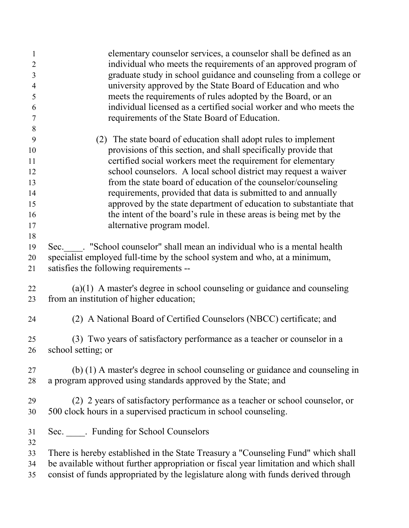| $\mathbf{1}$<br>$\overline{2}$<br>3 | elementary counselor services, a counselor shall be defined as an<br>individual who meets the requirements of an approved program of<br>graduate study in school guidance and counseling from a college or |
|-------------------------------------|------------------------------------------------------------------------------------------------------------------------------------------------------------------------------------------------------------|
| $\overline{4}$                      | university approved by the State Board of Education and who                                                                                                                                                |
| 5                                   | meets the requirements of rules adopted by the Board, or an                                                                                                                                                |
| 6                                   | individual licensed as a certified social worker and who meets the                                                                                                                                         |
| $\overline{7}$                      | requirements of the State Board of Education.                                                                                                                                                              |
| 8                                   |                                                                                                                                                                                                            |
| 9                                   | (2) The state board of education shall adopt rules to implement                                                                                                                                            |
| 10                                  | provisions of this section, and shall specifically provide that                                                                                                                                            |
| 11                                  | certified social workers meet the requirement for elementary                                                                                                                                               |
| 12                                  | school counselors. A local school district may request a waiver                                                                                                                                            |
| 13                                  | from the state board of education of the counselor/counseling                                                                                                                                              |
| 14                                  | requirements, provided that data is submitted to and annually                                                                                                                                              |
| 15                                  | approved by the state department of education to substantiate that                                                                                                                                         |
| 16                                  | the intent of the board's rule in these areas is being met by the                                                                                                                                          |
| 17                                  | alternative program model.                                                                                                                                                                                 |
| 18                                  |                                                                                                                                                                                                            |
| 19                                  | Sec. : "School counselor" shall mean an individual who is a mental health                                                                                                                                  |
| 20                                  | specialist employed full-time by the school system and who, at a minimum,                                                                                                                                  |
| 21                                  | satisfies the following requirements --                                                                                                                                                                    |
| 22                                  | $(a)(1)$ A master's degree in school counseling or guidance and counseling                                                                                                                                 |
| 23                                  | from an institution of higher education;                                                                                                                                                                   |
| 24                                  | (2) A National Board of Certified Counselors (NBCC) certificate; and                                                                                                                                       |
| 25                                  | (3) Two years of satisfactory performance as a teacher or counselor in a                                                                                                                                   |
| 26                                  | school setting; or                                                                                                                                                                                         |
|                                     |                                                                                                                                                                                                            |
| 27                                  | (b) (1) A master's degree in school counseling or guidance and counseling in                                                                                                                               |
| 28                                  | a program approved using standards approved by the State; and                                                                                                                                              |
| 29                                  | (2) 2 years of satisfactory performance as a teacher or school counselor, or                                                                                                                               |
| 30                                  | 500 clock hours in a supervised practicum in school counseling.                                                                                                                                            |
| 31                                  | Sec. _____. Funding for School Counselors                                                                                                                                                                  |
| 32                                  |                                                                                                                                                                                                            |
| 33                                  | There is hereby established in the State Treasury a "Counseling Fund" which shall                                                                                                                          |
| 34                                  | be available without further appropriation or fiscal year limitation and which shall                                                                                                                       |
| 35                                  | consist of funds appropriated by the legislature along with funds derived through                                                                                                                          |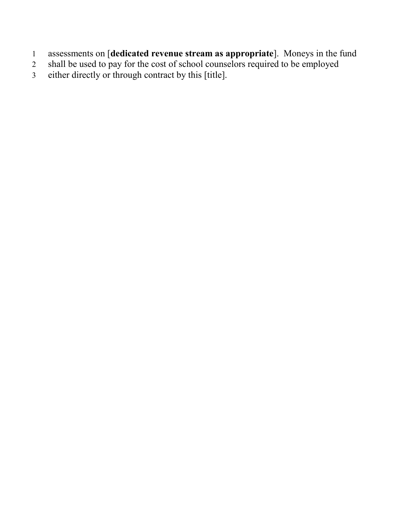- assessments on [**dedicated revenue stream as appropriate**]. Moneys in the fund
- shall be used to pay for the cost of school counselors required to be employed
- either directly or through contract by this [title].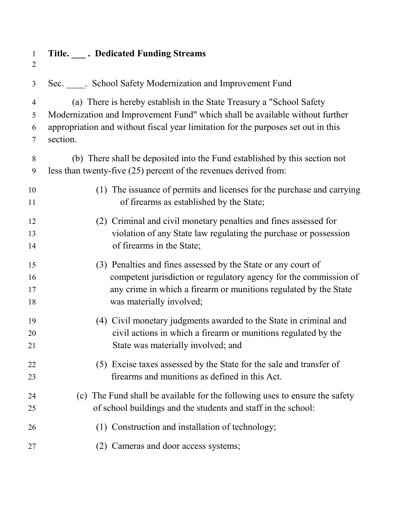| $\mathbf{1}$<br>$\overline{2}$ | Title. ____. Dedicated Funding Streams                                            |
|--------------------------------|-----------------------------------------------------------------------------------|
| 3                              | Sec. _____. School Safety Modernization and Improvement Fund                      |
| 4                              | (a) There is hereby establish in the State Treasury a "School Safety"             |
| 5                              | Modernization and Improvement Fund" which shall be available without further      |
| 6                              | appropriation and without fiscal year limitation for the purposes set out in this |
| 7                              | section.                                                                          |
| 8                              | (b) There shall be deposited into the Fund established by this section not        |
| 9                              | less than twenty-five $(25)$ percent of the revenues derived from:                |
| 10                             | (1) The issuance of permits and licenses for the purchase and carrying            |
| 11                             | of firearms as established by the State;                                          |
| 12                             | (2) Criminal and civil monetary penalties and fines assessed for                  |
| 13                             | violation of any State law regulating the purchase or possession                  |
| 14                             | of firearms in the State;                                                         |
| 15                             | (3) Penalties and fines assessed by the State or any court of                     |
| 16                             | competent jurisdiction or regulatory agency for the commission of                 |
| 17                             | any crime in which a firearm or munitions regulated by the State                  |
| 18                             | was materially involved;                                                          |
| 19                             | (4) Civil monetary judgments awarded to the State in criminal and                 |
| 20                             | civil actions in which a firearm or munitions regulated by the                    |
| 21                             | State was materially involved; and                                                |
| 22                             | (5) Excise taxes assessed by the State for the sale and transfer of               |
| 23                             | firearms and munitions as defined in this Act.                                    |
| 24                             | (c) The Fund shall be available for the following uses to ensure the safety       |
| 25                             | of school buildings and the students and staff in the school:                     |
| 26                             | (1) Construction and installation of technology;                                  |
| 27                             | Cameras and door access systems;<br>(2)                                           |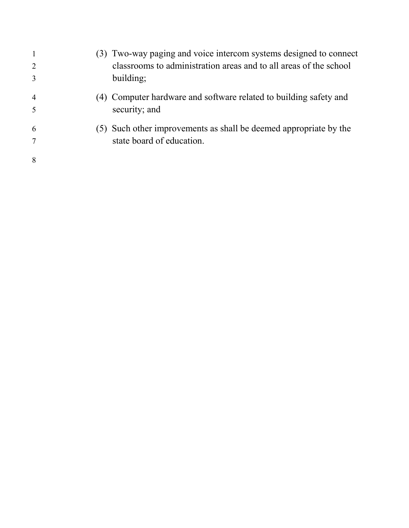| $\mathbf{1}$   | (3) Two-way paging and voice intercom systems designed to connect |
|----------------|-------------------------------------------------------------------|
| $\overline{2}$ | classrooms to administration areas and to all areas of the school |
| $\overline{3}$ | building;                                                         |
| $\overline{4}$ | (4) Computer hardware and software related to building safety and |
| 5              | security; and                                                     |
| 6              | (5) Such other improvements as shall be deemed appropriate by the |
| $\tau$         | state board of education.                                         |
| 8              |                                                                   |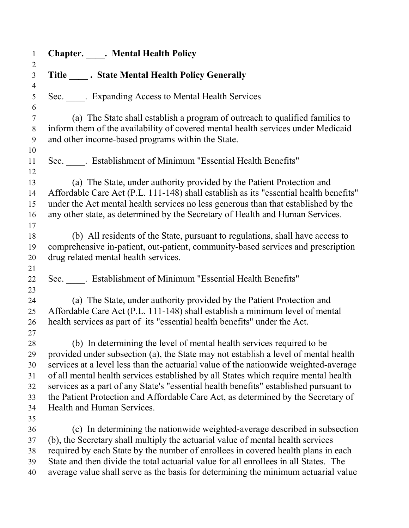| $\mathbf{1}$                                 | <b>Chapter.</b> Mental Health Policy                                                                                                                                                                                                                                                                                                                                                                                                                                                                                                                    |
|----------------------------------------------|---------------------------------------------------------------------------------------------------------------------------------------------------------------------------------------------------------------------------------------------------------------------------------------------------------------------------------------------------------------------------------------------------------------------------------------------------------------------------------------------------------------------------------------------------------|
| $\overline{2}$<br>$\overline{3}$             | Title State Mental Health Policy Generally                                                                                                                                                                                                                                                                                                                                                                                                                                                                                                              |
| $\overline{4}$<br>5<br>6                     | Sec. _____. Expanding Access to Mental Health Services                                                                                                                                                                                                                                                                                                                                                                                                                                                                                                  |
| $\tau$<br>8<br>9                             | (a) The State shall establish a program of outreach to qualified families to<br>inform them of the availability of covered mental health services under Medicaid<br>and other income-based programs within the State.                                                                                                                                                                                                                                                                                                                                   |
| 10<br>11<br>12                               | Sec. _____. Establishment of Minimum "Essential Health Benefits"                                                                                                                                                                                                                                                                                                                                                                                                                                                                                        |
| 13<br>14<br>15<br>16<br>17                   | (a) The State, under authority provided by the Patient Protection and<br>Affordable Care Act (P.L. 111-148) shall establish as its "essential health benefits"<br>under the Act mental health services no less generous than that established by the<br>any other state, as determined by the Secretary of Health and Human Services.                                                                                                                                                                                                                   |
| 18<br>19<br>20<br>21                         | (b) All residents of the State, pursuant to regulations, shall have access to<br>comprehensive in-patient, out-patient, community-based services and prescription<br>drug related mental health services.                                                                                                                                                                                                                                                                                                                                               |
| 22<br>23                                     | Sec. Establishment of Minimum "Essential Health Benefits"                                                                                                                                                                                                                                                                                                                                                                                                                                                                                               |
| 24<br>25<br>26<br>27                         | (a) The State, under authority provided by the Patient Protection and<br>Affordable Care Act (P.L. 111-148) shall establish a minimum level of mental<br>health services as part of its "essential health benefits" under the Act.                                                                                                                                                                                                                                                                                                                      |
| 28<br>29<br>30<br>31<br>32<br>33<br>34<br>35 | (b) In determining the level of mental health services required to be<br>provided under subsection (a), the State may not establish a level of mental health<br>services at a level less than the actuarial value of the nationwide weighted-average<br>of all mental health services established by all States which require mental health<br>services as a part of any State's "essential health benefits" established pursuant to<br>the Patient Protection and Affordable Care Act, as determined by the Secretary of<br>Health and Human Services. |
| 36<br>37<br>38<br>39<br>40                   | (c) In determining the nationwide weighted-average described in subsection<br>(b), the Secretary shall multiply the actuarial value of mental health services<br>required by each State by the number of enrollees in covered health plans in each<br>State and then divide the total actuarial value for all enrollees in all States. The<br>average value shall serve as the basis for determining the minimum actuarial value                                                                                                                        |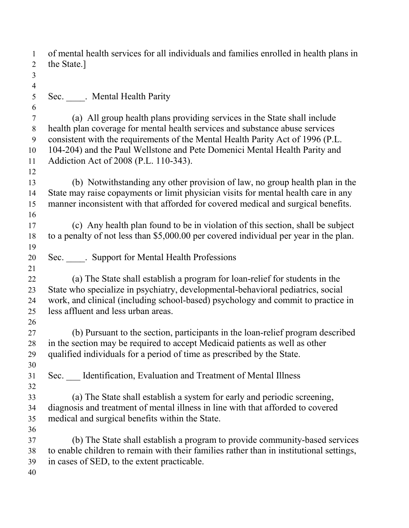| $\mathbf{1}$   | of mental health services for all individuals and families enrolled in health plans in                                                                         |
|----------------|----------------------------------------------------------------------------------------------------------------------------------------------------------------|
| $\overline{2}$ | the State.]                                                                                                                                                    |
| $\mathfrak{Z}$ |                                                                                                                                                                |
| $\overline{4}$ |                                                                                                                                                                |
| 5              | Sec. _____. Mental Health Parity                                                                                                                               |
| 6              |                                                                                                                                                                |
| $\overline{7}$ | (a) All group health plans providing services in the State shall include                                                                                       |
| 8<br>9         | health plan coverage for mental health services and substance abuse services<br>consistent with the requirements of the Mental Health Parity Act of 1996 (P.L. |
| 10             | 104-204) and the Paul Wellstone and Pete Domenici Mental Health Parity and                                                                                     |
| 11             | Addiction Act of 2008 (P.L. 110-343).                                                                                                                          |
|                |                                                                                                                                                                |
| 12             | (b) Notwithstanding any other provision of law, no group health plan in the                                                                                    |
| 13<br>14       | State may raise copayments or limit physician visits for mental health care in any                                                                             |
| 15             | manner inconsistent with that afforded for covered medical and surgical benefits.                                                                              |
| 16             |                                                                                                                                                                |
| 17             | (c) Any health plan found to be in violation of this section, shall be subject                                                                                 |
| 18             | to a penalty of not less than \$5,000.00 per covered individual per year in the plan.                                                                          |
| 19             |                                                                                                                                                                |
| 20             | Sec. _____. Support for Mental Health Professions                                                                                                              |
| 21             |                                                                                                                                                                |
| 22             | (a) The State shall establish a program for loan-relief for students in the                                                                                    |
| 23             | State who specialize in psychiatry, developmental-behavioral pediatrics, social                                                                                |
| 24             | work, and clinical (including school-based) psychology and commit to practice in                                                                               |
| 25             | less affluent and less urban areas.                                                                                                                            |
| 26             |                                                                                                                                                                |
| 27             | (b) Pursuant to the section, participants in the loan-relief program described                                                                                 |
| 28             | in the section may be required to accept Medicaid patients as well as other                                                                                    |
| 29             | qualified individuals for a period of time as prescribed by the State.                                                                                         |
| 30             |                                                                                                                                                                |
| 31             | Sec. Identification, Evaluation and Treatment of Mental Illness                                                                                                |
| 32             |                                                                                                                                                                |
| 33             | (a) The State shall establish a system for early and periodic screening,                                                                                       |
| 34             | diagnosis and treatment of mental illness in line with that afforded to covered                                                                                |
| 35             | medical and surgical benefits within the State.                                                                                                                |
| 36             |                                                                                                                                                                |
| 37             | (b) The State shall establish a program to provide community-based services                                                                                    |
| 38             | to enable children to remain with their families rather than in institutional settings,                                                                        |
| 39             | in cases of SED, to the extent practicable.                                                                                                                    |
| 40             |                                                                                                                                                                |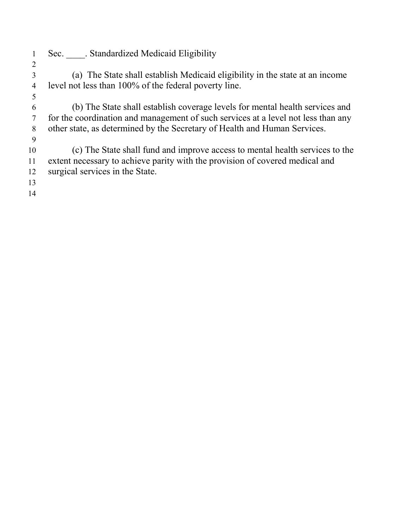- 1 Sec. Standardized Medicaid Eligibility
- (a) The State shall establish Medicaid eligibility in the state at an income level not less than 100% of the federal poverty line.
- (b) The State shall establish coverage levels for mental health services and for the coordination and management of such services at a level not less than any other state, as determined by the Secretary of Health and Human Services.
- (c) The State shall fund and improve access to mental health services to the extent necessary to achieve parity with the provision of covered medical and surgical services in the State.
-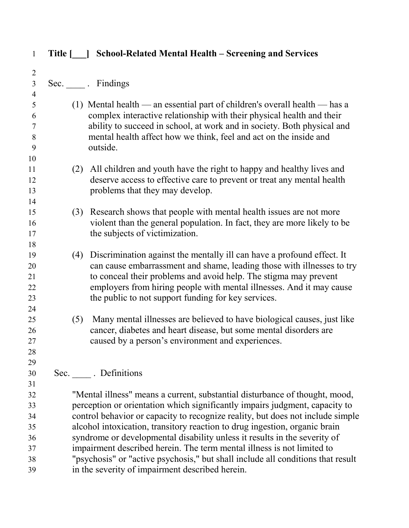| $\mathbf{1}$   | Title [ ] | <b>School-Related Mental Health – Screening and Services</b>                                                                                          |
|----------------|-----------|-------------------------------------------------------------------------------------------------------------------------------------------------------|
| $\overline{2}$ |           |                                                                                                                                                       |
| $\overline{3}$ |           | Sec. Findings                                                                                                                                         |
| $\overline{4}$ |           |                                                                                                                                                       |
| 5              |           | (1) Mental health — an essential part of children's overall health — has a                                                                            |
| 6              |           | complex interactive relationship with their physical health and their                                                                                 |
| $\tau$         |           | ability to succeed in school, at work and in society. Both physical and                                                                               |
| 8              |           | mental health affect how we think, feel and act on the inside and                                                                                     |
| 9              |           | outside.                                                                                                                                              |
| 10<br>11       |           |                                                                                                                                                       |
| 12             |           | All children and youth have the right to happy and healthy lives and<br>(2)<br>deserve access to effective care to prevent or treat any mental health |
| 13             |           | problems that they may develop.                                                                                                                       |
| 14             |           |                                                                                                                                                       |
| 15             |           | Research shows that people with mental health issues are not more<br>(3)                                                                              |
| 16             |           | violent than the general population. In fact, they are more likely to be                                                                              |
| 17             |           | the subjects of victimization.                                                                                                                        |
| 18             |           |                                                                                                                                                       |
| 19             |           | Discrimination against the mentally ill can have a profound effect. It<br>(4)                                                                         |
| 20             |           | can cause embarrassment and shame, leading those with illnesses to try                                                                                |
| 21             |           | to conceal their problems and avoid help. The stigma may prevent                                                                                      |
| 22             |           | employers from hiring people with mental illnesses. And it may cause                                                                                  |
| 23<br>24       |           | the public to not support funding for key services.                                                                                                   |
| 25             |           | Many mental illnesses are believed to have biological causes, just like<br>(5)                                                                        |
| 26             |           | cancer, diabetes and heart disease, but some mental disorders are                                                                                     |
| 27             |           | caused by a person's environment and experiences.                                                                                                     |
| 28             |           |                                                                                                                                                       |
| 29             |           |                                                                                                                                                       |
| 30             |           | Sec. Definitions                                                                                                                                      |
| 31             |           |                                                                                                                                                       |
| 32             |           | "Mental illness" means a current, substantial disturbance of thought, mood,                                                                           |
| 33             |           | perception or orientation which significantly impairs judgment, capacity to                                                                           |
| 34             |           | control behavior or capacity to recognize reality, but does not include simple                                                                        |
| 35             |           | alcohol intoxication, transitory reaction to drug ingestion, organic brain                                                                            |
| 36<br>37       |           | syndrome or developmental disability unless it results in the severity of<br>impairment described herein. The term mental illness is not limited to   |
| 38             |           | "psychosis" or "active psychosis," but shall include all conditions that result                                                                       |
| 39             |           | in the severity of impairment described herein.                                                                                                       |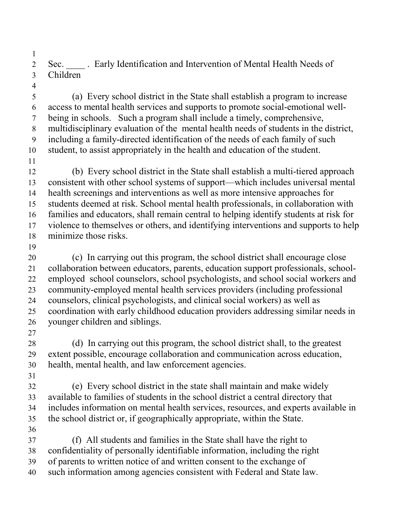Sec. \_\_\_\_ . Early Identification and Intervention of Mental Health Needs of Children 

 (a) Every school district in the State shall establish a program to increase access to mental health services and supports to promote social-emotional well- being in schools.Such a program shall include a timely, comprehensive, multidisciplinary evaluation of the mental health needs of students in the district, including a family-directed identification of the needs of each family of such student, to assist appropriately in the health and education of the student. 

- (b) Every school district in the State shall establish a multi-tiered approach consistent with other school systems of support—which includes universal mental health screenings and interventions as well as more intensive approaches for students deemed at risk. School mental health professionals, in collaboration with families and educators, shall remain central to helping identify students at risk for violence to themselves or others, and identifying interventions and supports to help minimize those risks.
- 

 (c) In carrying out this program, the school district shall encourage close collaboration between educators, parents, education support professionals, school- employed school counselors, school psychologists, and school social workers and community-employed mental health services providers (including professional counselors, clinical psychologists, and clinical social workers) as well as coordination with early childhood education providers addressing similar needs in younger children and siblings.

 (d) In carrying out this program, the school district shall, to the greatest extent possible, encourage collaboration and communication across education, health, mental health, and law enforcement agencies.

 (e) Every school district in the state shall maintain and make widely available to families of students in the school district a central directory that includes information on mental health services, resources, and experts available in the school district or, if geographically appropriate, within the State. 

 (f) All students and families in the State shall have the right to confidentiality of personally identifiable information, including the right

- 
- of parents to written notice of and written consent to the exchange of

such information among agencies consistent with Federal and State law.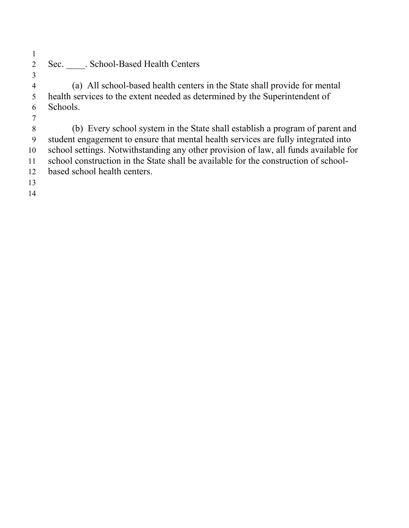Sec. \_\_\_\_. School-Based Health Centers

 (a) All school-based health centers in the State shall provide for mental health services to the extent needed as determined by the Superintendent of Schools.

 (b) Every school system in the State shall establish a program of parent and student engagement to ensure that mental health services are fully integrated into school settings. Notwithstanding any other provision of law, all funds available for school construction in the State shall be available for the construction of school-based school health centers.

- 
-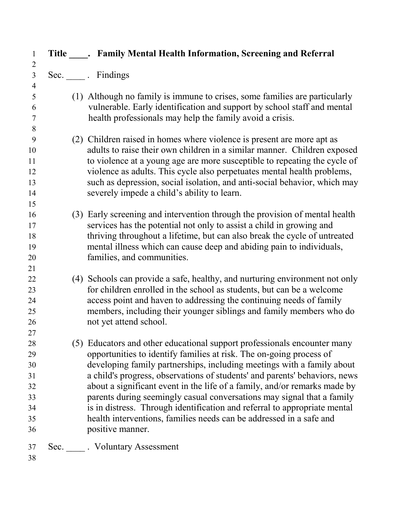| Title _____. Family Mental Health Information, Screening and Referral                                                                                                                                                                                                                                                                                                                                                                                                                                                                                                                                                                  |
|----------------------------------------------------------------------------------------------------------------------------------------------------------------------------------------------------------------------------------------------------------------------------------------------------------------------------------------------------------------------------------------------------------------------------------------------------------------------------------------------------------------------------------------------------------------------------------------------------------------------------------------|
| Sec. Findings                                                                                                                                                                                                                                                                                                                                                                                                                                                                                                                                                                                                                          |
| (1) Although no family is immune to crises, some families are particularly<br>vulnerable. Early identification and support by school staff and mental<br>health professionals may help the family avoid a crisis.                                                                                                                                                                                                                                                                                                                                                                                                                      |
| (2) Children raised in homes where violence is present are more apt as<br>adults to raise their own children in a similar manner. Children exposed<br>to violence at a young age are more susceptible to repeating the cycle of<br>violence as adults. This cycle also perpetuates mental health problems,<br>such as depression, social isolation, and anti-social behavior, which may<br>severely impede a child's ability to learn.                                                                                                                                                                                                 |
| (3) Early screening and intervention through the provision of mental health<br>services has the potential not only to assist a child in growing and<br>thriving throughout a lifetime, but can also break the cycle of untreated<br>mental illness which can cause deep and abiding pain to individuals,<br>families, and communities.                                                                                                                                                                                                                                                                                                 |
| (4) Schools can provide a safe, healthy, and nurturing environment not only<br>for children enrolled in the school as students, but can be a welcome<br>access point and haven to addressing the continuing needs of family<br>members, including their younger siblings and family members who do<br>not yet attend school.                                                                                                                                                                                                                                                                                                           |
| (5) Educators and other educational support professionals encounter many<br>opportunities to identify families at risk. The on-going process of<br>developing family partnerships, including meetings with a family about<br>a child's progress, observations of students' and parents' behaviors, news<br>about a significant event in the life of a family, and/or remarks made by<br>parents during seemingly casual conversations may signal that a family<br>is in distress. Through identification and referral to appropriate mental<br>health interventions, families needs can be addressed in a safe and<br>positive manner. |
| Sec. Voluntary Assessment                                                                                                                                                                                                                                                                                                                                                                                                                                                                                                                                                                                                              |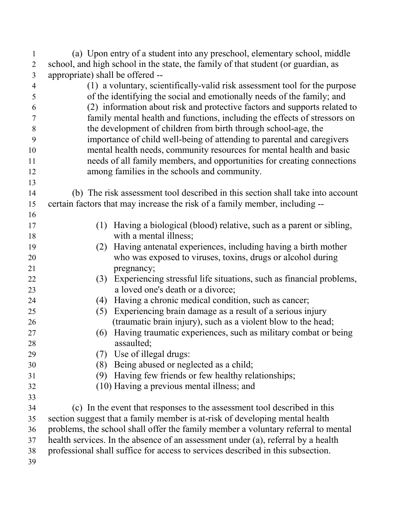| $\mathbf{1}$<br>$\overline{2}$ | (a) Upon entry of a student into any preschool, elementary school, middle<br>school, and high school in the state, the family of that student (or guardian, as |
|--------------------------------|----------------------------------------------------------------------------------------------------------------------------------------------------------------|
| $\mathfrak{Z}$                 | appropriate) shall be offered --                                                                                                                               |
| $\overline{4}$                 | (1) a voluntary, scientifically-valid risk assessment tool for the purpose                                                                                     |
| 5                              | of the identifying the social and emotionally needs of the family; and                                                                                         |
| 6                              | (2) information about risk and protective factors and supports related to                                                                                      |
| $\overline{7}$                 | family mental health and functions, including the effects of stressors on                                                                                      |
| 8                              | the development of children from birth through school-age, the                                                                                                 |
| 9                              | importance of child well-being of attending to parental and caregivers                                                                                         |
| 10                             | mental health needs, community resources for mental health and basic                                                                                           |
| 11                             | needs of all family members, and opportunities for creating connections                                                                                        |
| 12                             | among families in the schools and community.                                                                                                                   |
| 13                             |                                                                                                                                                                |
| 14                             | (b) The risk assessment tool described in this section shall take into account                                                                                 |
| 15                             | eritain factors that may increase the risk of a family member, including --                                                                                    |
| 16                             |                                                                                                                                                                |
| 17                             | Having a biological (blood) relative, such as a parent or sibling,<br>(1)                                                                                      |
| 18                             | with a mental illness;                                                                                                                                         |
| 19                             | (2) Having antenatal experiences, including having a birth mother                                                                                              |
| 20                             | who was exposed to viruses, toxins, drugs or alcohol during                                                                                                    |
| 21                             | pregnancy;                                                                                                                                                     |
| 22                             | (3) Experiencing stressful life situations, such as financial problems,                                                                                        |
| 23                             | a loved one's death or a divorce;                                                                                                                              |
| 24                             | (4) Having a chronic medical condition, such as cancer;                                                                                                        |
| 25                             | Experiencing brain damage as a result of a serious injury<br>(5)                                                                                               |
| 26                             | (traumatic brain injury), such as a violent blow to the head;                                                                                                  |
| 27                             | Having traumatic experiences, such as military combat or being<br>(6)                                                                                          |
| 28                             | assaulted;                                                                                                                                                     |
| 29                             | Use of illegal drugs:<br>(7)                                                                                                                                   |
| 30                             | Being abused or neglected as a child;<br>(8)                                                                                                                   |
| 31                             | Having few friends or few healthy relationships;<br>(9)                                                                                                        |
| 32                             | (10) Having a previous mental illness; and                                                                                                                     |
| 33                             |                                                                                                                                                                |
| 34                             | (c) In the event that responses to the assessment tool described in this                                                                                       |
| 35                             | section suggest that a family member is at-risk of developing mental health                                                                                    |
| 36                             | problems, the school shall offer the family member a voluntary referral to mental                                                                              |
| 37                             | health services. In the absence of an assessment under (a), referral by a health                                                                               |
| 38                             | professional shall suffice for access to services described in this subsection.                                                                                |
| 39                             |                                                                                                                                                                |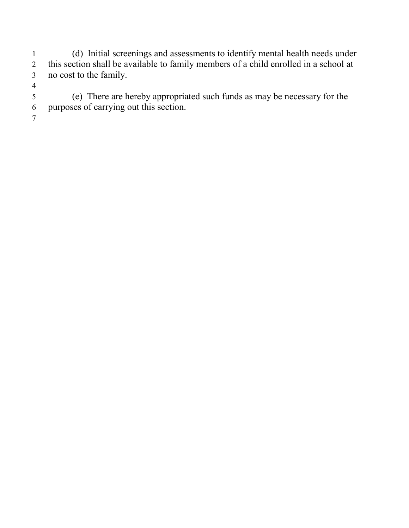1 (d) Initial screenings and assessments to identify mental health needs under<br>2 this section shall be available to family members of a child enrolled in a school at this section shall be available to family members of a child enrolled in a school at no cost to the family.

 (e) There are hereby appropriated such funds as may be necessary for the purposes of carrying out this section.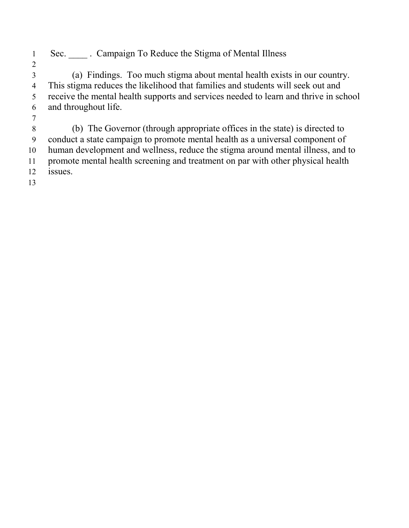1 Sec. Campaign To Reduce the Stigma of Mental Illness

 (a) Findings. Too much stigma about mental health exists in our country. This stigma reduces the likelihood that families and students will seek out and receive the mental health supports and services needed to learn and thrive in school and throughout life.

 (b) The Governor (through appropriate offices in the state) is directed to conduct a state campaign to promote mental health as a universal component of human development and wellness, reduce the stigma around mental illness, and to promote mental health screening and treatment on par with other physical health issues.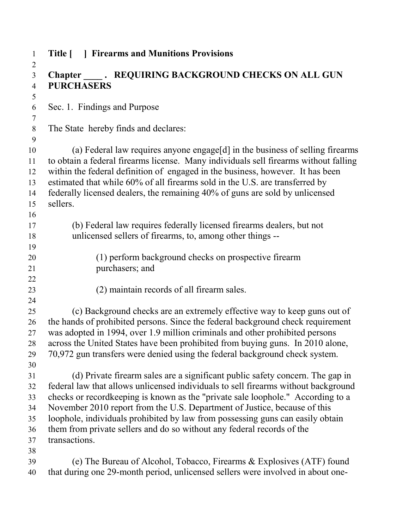| $\mathbf{1}$      | Title [   Firearms and Munitions Provisions                                                                                                                            |
|-------------------|------------------------------------------------------------------------------------------------------------------------------------------------------------------------|
| $\overline{2}$    |                                                                                                                                                                        |
| $\overline{3}$    | <b>PURCHASERS</b>                                                                                                                                                      |
| $\overline{4}$    |                                                                                                                                                                        |
| 5<br>6            | Sec. 1. Findings and Purpose                                                                                                                                           |
| $\tau$<br>$\,8\,$ | The State hereby finds and declares:                                                                                                                                   |
| 9                 |                                                                                                                                                                        |
| 10                | (a) Federal law requires anyone engage[d] in the business of selling firearms                                                                                          |
| 11                | to obtain a federal firearms license. Many individuals sell firearms without falling                                                                                   |
| 12                | within the federal definition of engaged in the business, however. It has been                                                                                         |
| 13                | estimated that while 60% of all firearms sold in the U.S. are transferred by                                                                                           |
| 14                | federally licensed dealers, the remaining 40% of guns are sold by unlicensed                                                                                           |
| 15                | sellers.                                                                                                                                                               |
| 16                |                                                                                                                                                                        |
| 17                | (b) Federal law requires federally licensed firearms dealers, but not                                                                                                  |
| 18                | unlicensed sellers of firearms, to, among other things --                                                                                                              |
| 19                |                                                                                                                                                                        |
| 20                | (1) perform background checks on prospective firearm                                                                                                                   |
| 21                | purchasers; and                                                                                                                                                        |
| 22                |                                                                                                                                                                        |
| 23                | (2) maintain records of all firearm sales.                                                                                                                             |
| 24                |                                                                                                                                                                        |
| 25                | (c) Background checks are an extremely effective way to keep guns out of                                                                                               |
| 26                | the hands of prohibited persons. Since the federal background check requirement                                                                                        |
| 27                | was adopted in 1994, over 1.9 million criminals and other prohibited persons                                                                                           |
| 28                | across the United States have been prohibited from buying guns. In 2010 alone,                                                                                         |
| 29                | 70,972 gun transfers were denied using the federal background check system.                                                                                            |
| 30                |                                                                                                                                                                        |
| 31                | (d) Private firearm sales are a significant public safety concern. The gap in                                                                                          |
| 32<br>33          | federal law that allows unlicensed individuals to sell firearms without background<br>checks or record keeping is known as the "private sale loophole." According to a |
| 34                | November 2010 report from the U.S. Department of Justice, because of this                                                                                              |
| 35                | loophole, individuals prohibited by law from possessing guns can easily obtain                                                                                         |
| 36                | them from private sellers and do so without any federal records of the                                                                                                 |
| 37                | transactions.                                                                                                                                                          |
| 38                |                                                                                                                                                                        |
| 39                | (e) The Bureau of Alcohol, Tobacco, Firearms & Explosives (ATF) found                                                                                                  |
| 40                | that during one 29-month period, unlicensed sellers were involved in about one-                                                                                        |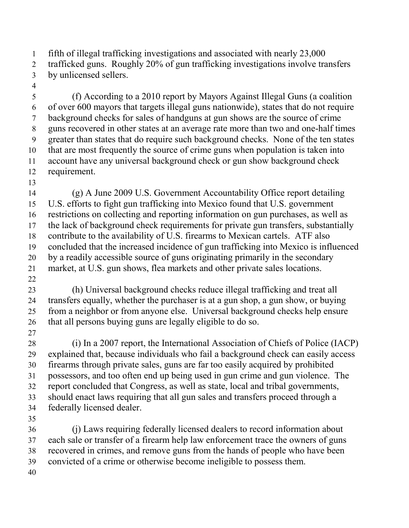fifth of illegal trafficking investigations and associated with nearly 23,000 trafficked guns. Roughly 20% of gun trafficking investigations involve transfers by unlicensed sellers.

 (f) According to a 2010 report by Mayors Against Illegal Guns (a coalition of over 600 mayors that targets illegal guns nationwide), states that do not require background checks for sales of handguns at gun shows are the source of crime guns recovered in other states at an average rate more than two and one-half times greater than states that do require such background checks. None of the ten states that are most frequently the source of crime guns when population is taken into account have any universal background check or gun show background check requirement.

 (g) A June 2009 U.S. Government Accountability Office report detailing U.S. efforts to fight gun trafficking into Mexico found that U.S. government restrictions on collecting and reporting information on gun purchases, as well as the lack of background check requirements for private gun transfers, substantially contribute to the availability of U.S. firearms to Mexican cartels. ATF also concluded that the increased incidence of gun trafficking into Mexico is influenced by a readily accessible source of guns originating primarily in the secondary market, at U.S. gun shows, flea markets and other private sales locations.

 (h) Universal background checks reduce illegal trafficking and treat all transfers equally, whether the purchaser is at a gun shop, a gun show, or buying from a neighbor or from anyone else. Universal background checks help ensure that all persons buying guns are legally eligible to do so.

 (i) In a 2007 report, the International Association of Chiefs of Police (IACP) explained that, because individuals who fail a background check can easily access firearms through private sales, guns are far too easily acquired by prohibited possessors, and too often end up being used in gun crime and gun violence. The report concluded that Congress, as well as state, local and tribal governments, should enact laws requiring that all gun sales and transfers proceed through a federally licensed dealer.

 (j) Laws requiring federally licensed dealers to record information about each sale or transfer of a firearm help law enforcement trace the owners of guns recovered in crimes, and remove guns from the hands of people who have been convicted of a crime or otherwise become ineligible to possess them.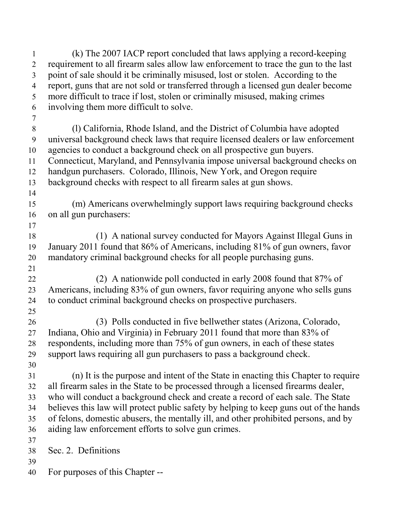(k) The 2007 IACP report concluded that laws applying a record-keeping requirement to all firearm sales allow law enforcement to trace the gun to the last point of sale should it be criminally misused, lost or stolen. According to the report, guns that are not sold or transferred through a licensed gun dealer become more difficult to trace if lost, stolen or criminally misused, making crimes involving them more difficult to solve. (l) California, Rhode Island, and the District of Columbia have adopted universal background check laws that require licensed dealers or law enforcement agencies to conduct a background check on all prospective gun buyers. Connecticut, Maryland, and Pennsylvania impose universal background checks on handgun purchasers. Colorado, Illinois, New York, and Oregon require background checks with respect to all firearm sales at gun shows. (m) Americans overwhelmingly support laws requiring background checks on all gun purchasers: (1) A national survey conducted for Mayors Against Illegal Guns in January 2011 found that 86% of Americans, including 81% of gun owners, favor mandatory criminal background checks for all people purchasing guns. (2) A nationwide poll conducted in early 2008 found that 87% of Americans, including 83% of gun owners, favor requiring anyone who sells guns to conduct criminal background checks on prospective purchasers. (3) Polls conducted in five bellwether states (Arizona, Colorado, Indiana, Ohio and Virginia) in February 2011 found that more than 83% of respondents, including more than 75% of gun owners, in each of these states support laws requiring all gun purchasers to pass a background check. (n) It is the purpose and intent of the State in enacting this Chapter to require all firearm sales in the State to be processed through a licensed firearms dealer, who will conduct a background check and create a record of each sale. The State believes this law will protect public safety by helping to keep guns out of the hands of felons, domestic abusers, the mentally ill, and other prohibited persons, and by aiding law enforcement efforts to solve gun crimes. Sec. 2. Definitions For purposes of this Chapter --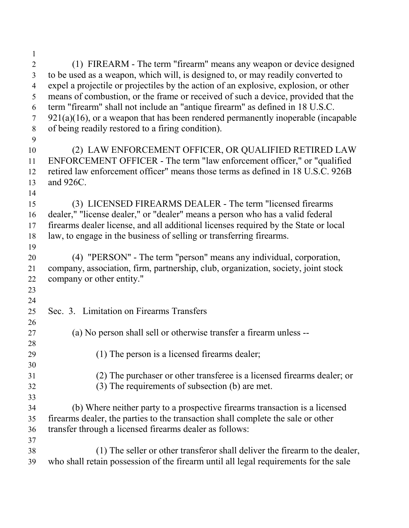(1) FIREARM - The term "firearm" means any weapon or device designed to be used as a weapon, which will, is designed to, or may readily converted to expel a projectile or projectiles by the action of an explosive, explosion, or other means of combustion, or the frame or received of such a device, provided that the term "firearm" shall not include an "antique firearm" as defined in 18 U.S.C. 921(a)(16), or a weapon that has been rendered permanently inoperable (incapable of being readily restored to a firing condition). (2) LAW ENFORCEMENT OFFICER, OR QUALIFIED RETIRED LAW ENFORCEMENT OFFICER - The term "law enforcement officer," or "qualified retired law enforcement officer" means those terms as defined in 18 U.S.C. 926B and 926C. (3) LICENSED FIREARMS DEALER - The term "licensed firearms dealer," "license dealer," or "dealer" means a person who has a valid federal firearms dealer license, and all additional licenses required by the State or local law, to engage in the business of selling or transferring firearms. (4) "PERSON" - The term "person" means any individual, corporation, company, association, firm, partnership, club, organization, society, joint stock company or other entity." Sec. 3. Limitation on Firearms Transfers (a) No person shall sell or otherwise transfer a firearm unless -- (1) The person is a licensed firearms dealer; (2) The purchaser or other transferee is a licensed firearms dealer; or (3) The requirements of subsection (b) are met. (b) Where neither party to a prospective firearms transaction is a licensed firearms dealer, the parties to the transaction shall complete the sale or other transfer through a licensed firearms dealer as follows: (1) The seller or other transferor shall deliver the firearm to the dealer, who shall retain possession of the firearm until all legal requirements for the sale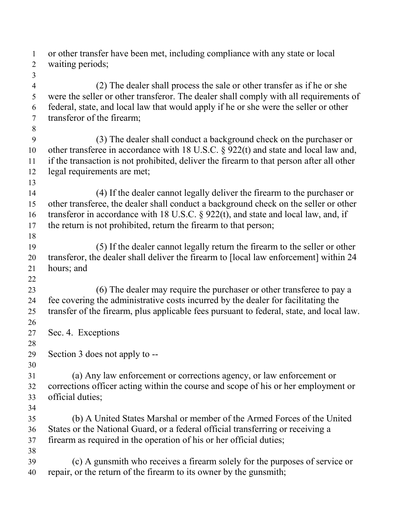| 1<br>$\overline{2}$      | or other transfer have been met, including compliance with any state or local<br>waiting periods; |
|--------------------------|---------------------------------------------------------------------------------------------------|
| 3                        |                                                                                                   |
| $\overline{\mathcal{A}}$ | (2) The dealer shall process the sale or other transfer as if he or she                           |
| 5                        | were the seller or other transferor. The dealer shall comply with all requirements of             |
| 6                        | federal, state, and local law that would apply if he or she were the seller or other              |
| $\tau$                   | transferor of the firearm;                                                                        |
| 8                        |                                                                                                   |
| $\boldsymbol{9}$         | (3) The dealer shall conduct a background check on the purchaser or                               |
| 10                       | other transferee in accordance with 18 U.S.C. $\S$ 922(t) and state and local law and,            |
| 11                       | if the transaction is not prohibited, deliver the firearm to that person after all other          |
| 12                       | legal requirements are met;                                                                       |
| 13                       |                                                                                                   |
| 14                       | (4) If the dealer cannot legally deliver the firearm to the purchaser or                          |
| 15                       | other transferee, the dealer shall conduct a background check on the seller or other              |
| 16                       | transferor in accordance with 18 U.S.C. $\S$ 922(t), and state and local law, and, if             |
| 17                       | the return is not prohibited, return the firearm to that person;                                  |
| 18                       |                                                                                                   |
| 19                       | (5) If the dealer cannot legally return the firearm to the seller or other                        |
| 20                       | transferor, the dealer shall deliver the firearm to [local law enforcement] within 24             |
| 21                       | hours; and                                                                                        |
| 22                       |                                                                                                   |
| 23                       | (6) The dealer may require the purchaser or other transferee to pay a                             |
| 24                       | fee covering the administrative costs incurred by the dealer for facilitating the                 |
| 25                       | transfer of the firearm, plus applicable fees pursuant to federal, state, and local law.          |
| 26                       |                                                                                                   |
| 27                       | Sec. 4. Exceptions                                                                                |
| 28                       |                                                                                                   |
| 29                       | Section 3 does not apply to --                                                                    |
| 30                       |                                                                                                   |
| 31                       | (a) Any law enforcement or corrections agency, or law enforcement or                              |
| 32                       | corrections officer acting within the course and scope of his or her employment or                |
| 33                       | official duties;                                                                                  |
| 34                       |                                                                                                   |
| 35                       | (b) A United States Marshal or member of the Armed Forces of the United                           |
| 36                       | States or the National Guard, or a federal official transferring or receiving a                   |
| 37                       | firearm as required in the operation of his or her official duties;                               |
| 38                       |                                                                                                   |
| 39                       | (c) A gunsmith who receives a firearm solely for the purposes of service or                       |
| 40                       | repair, or the return of the firearm to its owner by the gunsmith;                                |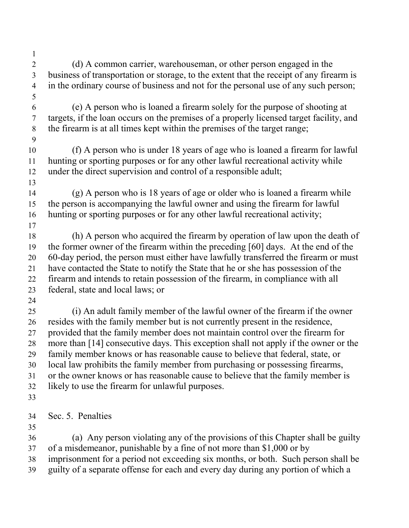(d) A common carrier, warehouseman, or other person engaged in the business of transportation or storage, to the extent that the receipt of any firearm is in the ordinary course of business and not for the personal use of any such person; (e) A person who is loaned a firearm solely for the purpose of shooting at targets, if the loan occurs on the premises of a properly licensed target facility, and the firearm is at all times kept within the premises of the target range; (f) A person who is under 18 years of age who is loaned a firearm for lawful hunting or sporting purposes or for any other lawful recreational activity while under the direct supervision and control of a responsible adult; (g) A person who is 18 years of age or older who is loaned a firearm while the person is accompanying the lawful owner and using the firearm for lawful hunting or sporting purposes or for any other lawful recreational activity; (h) A person who acquired the firearm by operation of law upon the death of the former owner of the firearm within the preceding [60] days. At the end of the 60-day period, the person must either have lawfully transferred the firearm or must have contacted the State to notify the State that he or she has possession of the firearm and intends to retain possession of the firearm, in compliance with all federal, state and local laws; or (i) An adult family member of the lawful owner of the firearm if the owner resides with the family member but is not currently present in the residence, provided that the family member does not maintain control over the firearm for more than [14] consecutive days. This exception shall not apply if the owner or the family member knows or has reasonable cause to believe that federal, state, or local law prohibits the family member from purchasing or possessing firearms, or the owner knows or has reasonable cause to believe that the family member is likely to use the firearm for unlawful purposes. Sec. 5. Penalties (a) Any person violating any of the provisions of this Chapter shall be guilty of a misdemeanor, punishable by a fine of not more than \$1,000 or by imprisonment for a period not exceeding six months, or both. Such person shall be guilty of a separate offense for each and every day during any portion of which a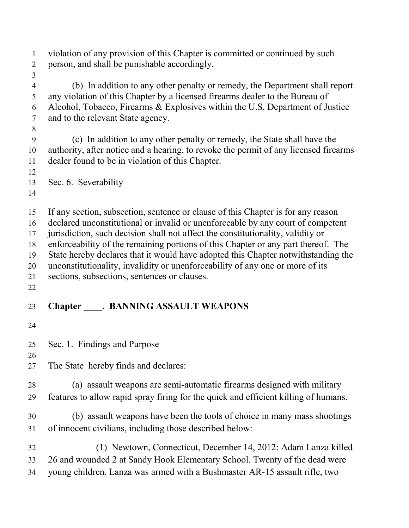| $\mathbf{1}$<br>$\sqrt{2}$                           | violation of any provision of this Chapter is committed or continued by such<br>person, and shall be punishable accordingly.                                                                                                                                                                                                                                                                                                                                                                                                                                      |
|------------------------------------------------------|-------------------------------------------------------------------------------------------------------------------------------------------------------------------------------------------------------------------------------------------------------------------------------------------------------------------------------------------------------------------------------------------------------------------------------------------------------------------------------------------------------------------------------------------------------------------|
| $\mathfrak{Z}$<br>$\overline{4}$<br>5<br>6<br>$\tau$ | (b) In addition to any other penalty or remedy, the Department shall report<br>any violation of this Chapter by a licensed firearms dealer to the Bureau of<br>Alcohol, Tobacco, Firearms & Explosives within the U.S. Department of Justice<br>and to the relevant State agency.                                                                                                                                                                                                                                                                                 |
| $8\,$<br>$\boldsymbol{9}$<br>10<br>11<br>12          | (c) In addition to any other penalty or remedy, the State shall have the<br>authority, after notice and a hearing, to revoke the permit of any licensed firearms<br>dealer found to be in violation of this Chapter.                                                                                                                                                                                                                                                                                                                                              |
| 13<br>14                                             | Sec. 6. Severability                                                                                                                                                                                                                                                                                                                                                                                                                                                                                                                                              |
| 15<br>16<br>17<br>18<br>19<br>20<br>21<br>22         | If any section, subsection, sentence or clause of this Chapter is for any reason<br>declared unconstitutional or invalid or unenforceable by any court of competent<br>jurisdiction, such decision shall not affect the constitutionality, validity or<br>enforceability of the remaining portions of this Chapter or any part thereof. The<br>State hereby declares that it would have adopted this Chapter notwithstanding the<br>unconstitutionality, invalidity or unenforceability of any one or more of its<br>sections, subsections, sentences or clauses. |
| 23                                                   | <b>Chapter ______. BANNING ASSAULT WEAPONS</b>                                                                                                                                                                                                                                                                                                                                                                                                                                                                                                                    |
| 24                                                   |                                                                                                                                                                                                                                                                                                                                                                                                                                                                                                                                                                   |
| 25<br>26                                             | Sec. 1. Findings and Purpose                                                                                                                                                                                                                                                                                                                                                                                                                                                                                                                                      |
| 27                                                   | The State hereby finds and declares:                                                                                                                                                                                                                                                                                                                                                                                                                                                                                                                              |
| 28<br>29                                             | (a) assault weapons are semi-automatic firearms designed with military<br>features to allow rapid spray firing for the quick and efficient killing of humans.                                                                                                                                                                                                                                                                                                                                                                                                     |
| 30<br>31                                             | (b) assault weapons have been the tools of choice in many mass shootings<br>of innocent civilians, including those described below:                                                                                                                                                                                                                                                                                                                                                                                                                               |
| 32<br>33<br>34                                       | (1) Newtown, Connecticut, December 14, 2012: Adam Lanza killed<br>26 and wounded 2 at Sandy Hook Elementary School. Twenty of the dead were<br>young children. Lanza was armed with a Bushmaster AR-15 assault rifle, two                                                                                                                                                                                                                                                                                                                                         |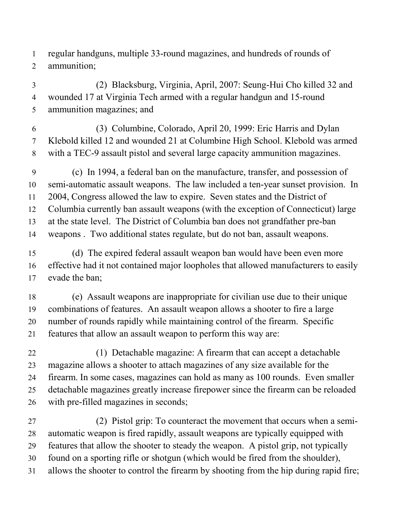regular handguns, multiple 33-round magazines, and hundreds of rounds of ammunition;

 (2) Blacksburg, Virginia, April, 2007: Seung-Hui Cho killed 32 and wounded 17 at Virginia Tech armed with a regular handgun and 15-round ammunition magazines; and

 (3) Columbine, Colorado, April 20, 1999: Eric Harris and Dylan Klebold killed 12 and wounded 21 at Columbine High School. Klebold was armed with a TEC-9 assault pistol and several large capacity ammunition magazines.

 (c) In 1994, a federal ban on the manufacture, transfer, and possession of semi-automatic assault weapons. The law included a ten-year sunset provision. In 2004, Congress allowed the law to expire. Seven states and the District of Columbia currently ban assault weapons (with the exception of Connecticut) large at the state level. The District of Columbia ban does not grandfather pre-ban weapons . Two additional states regulate, but do not ban, assault weapons.

 (d) The expired federal assault weapon ban would have been even more effective had it not contained major loopholes that allowed manufacturers to easily evade the ban;

 (e) Assault weapons are inappropriate for civilian use due to their unique combinations of features. An assault weapon allows a shooter to fire a large number of rounds rapidly while maintaining control of the firearm. Specific features that allow an assault weapon to perform this way are:

 (1) Detachable magazine: A firearm that can accept a detachable magazine allows a shooter to attach magazines of any size available for the firearm. In some cases, magazines can hold as many as 100 rounds. Even smaller detachable magazines greatly increase firepower since the firearm can be reloaded with pre-filled magazines in seconds;

 (2) Pistol grip: To counteract the movement that occurs when a semi- automatic weapon is fired rapidly, assault weapons are typically equipped with features that allow the shooter to steady the weapon. A pistol grip, not typically found on a sporting rifle or shotgun (which would be fired from the shoulder), allows the shooter to control the firearm by shooting from the hip during rapid fire;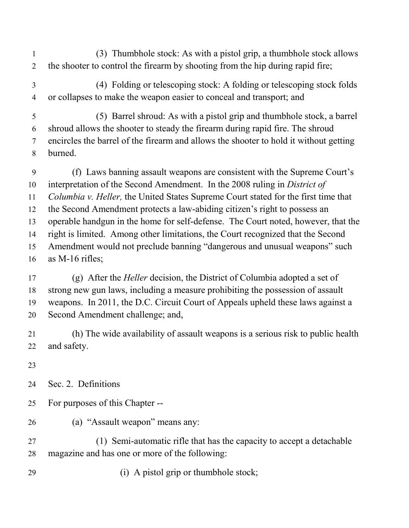- (3) Thumbhole stock: As with a pistol grip, a thumbhole stock allows the shooter to control the firearm by shooting from the hip during rapid fire;
- (4) Folding or telescoping stock: A folding or telescoping stock folds or collapses to make the weapon easier to conceal and transport; and
- (5) Barrel shroud: As with a pistol grip and thumbhole stock, a barrel shroud allows the shooter to steady the firearm during rapid fire. The shroud encircles the barrel of the firearm and allows the shooter to hold it without getting burned.
- (f) Laws banning assault weapons are consistent with the Supreme Court's interpretation of the Second Amendment. In the 2008 ruling in *District of Columbia v. Heller,* the United States Supreme Court stated for the first time that the Second Amendment protects a law-abiding citizen's right to possess an operable handgun in the home for self-defense. The Court noted, however, that the right is limited. Among other limitations, the Court recognized that the Second Amendment would not preclude banning "dangerous and unusual weapons" such as M-16 rifles;
- (g) After the *Heller* decision, the District of Columbia adopted a set of strong new gun laws, including a measure prohibiting the possession of assault weapons. In 2011, the D.C. Circuit Court of Appeals upheld these laws against a Second Amendment challenge; and,
- (h) The wide availability of assault weapons is a serious risk to public health and safety.
- 
- Sec. 2. Definitions
- For purposes of this Chapter --
- (a) "Assault weapon" means any:
- (1) Semi-automatic rifle that has the capacity to accept a detachable magazine and has one or more of the following:
- 29 (i) A pistol grip or thumbhole stock;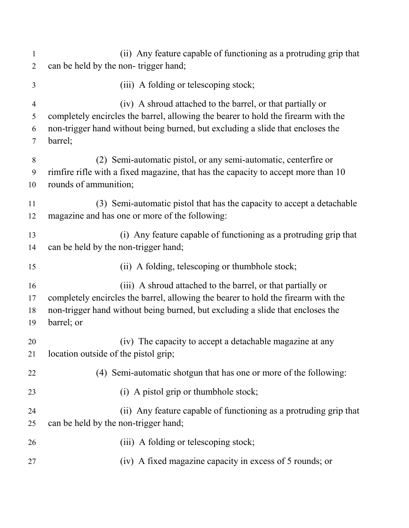| 1              | (ii) Any feature capable of functioning as a protruding grip that                 |
|----------------|-----------------------------------------------------------------------------------|
| $\overline{2}$ | can be held by the non-trigger hand;                                              |
| 3              | (iii) A folding or telescoping stock;                                             |
| $\overline{4}$ | (iv) A shroud attached to the barrel, or that partially or                        |
| 5              | completely encircles the barrel, allowing the bearer to hold the firearm with the |
| 6              | non-trigger hand without being burned, but excluding a slide that encloses the    |
| 7              | barrel;                                                                           |
| 8              | (2) Semi-automatic pistol, or any semi-automatic, centerfire or                   |
| 9              | rimfire rifle with a fixed magazine, that has the capacity to accept more than 10 |
| 10             | rounds of ammunition;                                                             |
| 11             | (3) Semi-automatic pistol that has the capacity to accept a detachable            |
| 12             | magazine and has one or more of the following:                                    |
| 13             | (i) Any feature capable of functioning as a protruding grip that                  |
| 14             | can be held by the non-trigger hand;                                              |
| 15             | (ii) A folding, telescoping or thumbhole stock;                                   |
| 16             | (iii) A shroud attached to the barrel, or that partially or                       |
| 17             | completely encircles the barrel, allowing the bearer to hold the firearm with the |
| 18             | non-trigger hand without being burned, but excluding a slide that encloses the    |
| 19             | barrel; or                                                                        |
| 20             | (iv) The capacity to accept a detachable magazine at any                          |
| 21             | location outside of the pistol grip;                                              |
| 22             | (4) Semi-automatic shotgun that has one or more of the following:                 |
| 23             | (i) A pistol grip or thumbhole stock;                                             |
| 24             | (ii) Any feature capable of functioning as a protruding grip that                 |
| 25             | can be held by the non-trigger hand;                                              |
| 26             | (iii) A folding or telescoping stock;                                             |
| 27             | (iv) A fixed magazine capacity in excess of 5 rounds; or                          |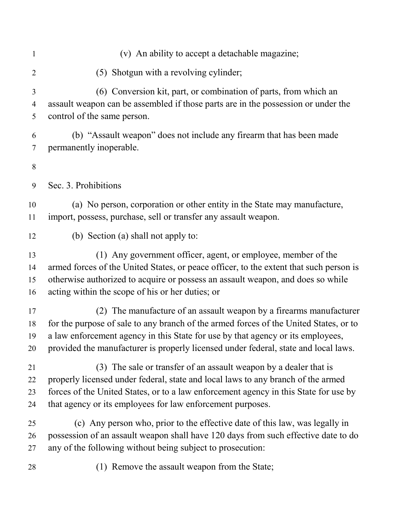| $\mathbf{1}$   | (v) An ability to accept a detachable magazine;                                        |
|----------------|----------------------------------------------------------------------------------------|
| $\overline{2}$ | (5) Shotgun with a revolving cylinder;                                                 |
| 3              | (6) Conversion kit, part, or combination of parts, from which an                       |
| $\overline{4}$ | assault weapon can be assembled if those parts are in the possession or under the      |
| 5              | control of the same person.                                                            |
| 6              | (b) "Assault weapon" does not include any firearm that has been made                   |
| 7              | permanently inoperable.                                                                |
| 8<br>9         | Sec. 3. Prohibitions                                                                   |
| 10             | (a) No person, corporation or other entity in the State may manufacture,               |
| 11             | import, possess, purchase, sell or transfer any assault weapon.                        |
| 12             | (b) Section (a) shall not apply to:                                                    |
| 13             | (1) Any government officer, agent, or employee, member of the                          |
| 14             | armed forces of the United States, or peace officer, to the extent that such person is |
| 15             | otherwise authorized to acquire or possess an assault weapon, and does so while        |
| 16             | acting within the scope of his or her duties; or                                       |
| 17             | (2) The manufacture of an assault weapon by a firearms manufacturer                    |
| 18             | for the purpose of sale to any branch of the armed forces of the United States, or to  |
| 19             | a law enforcement agency in this State for use by that agency or its employees,        |
| 20             | provided the manufacturer is properly licensed under federal, state and local laws.    |
| 21             | (3) The sale or transfer of an assault weapon by a dealer that is                      |
| 22             | properly licensed under federal, state and local laws to any branch of the armed       |
| 23             | forces of the United States, or to a law enforcement agency in this State for use by   |
| 24             | that agency or its employees for law enforcement purposes.                             |
| 25             | (c) Any person who, prior to the effective date of this law, was legally in            |
| 26             | possession of an assault weapon shall have 120 days from such effective date to do     |
| 27             | any of the following without being subject to prosecution:                             |
| 28             | (1) Remove the assault weapon from the State;                                          |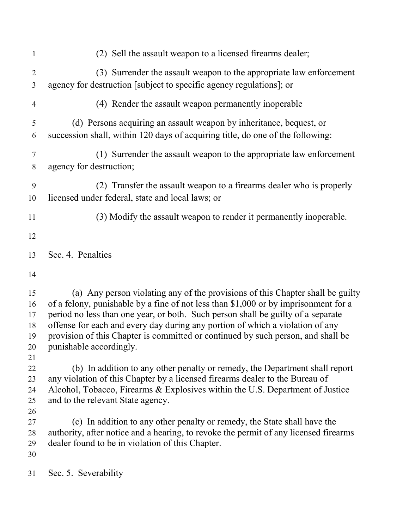| $\mathbf{1}$                           | (2) Sell the assault weapon to a licensed firearms dealer;                                                                                                                                                                                                                                                                                                                                                                                                |
|----------------------------------------|-----------------------------------------------------------------------------------------------------------------------------------------------------------------------------------------------------------------------------------------------------------------------------------------------------------------------------------------------------------------------------------------------------------------------------------------------------------|
| $\overline{2}$<br>3                    | (3) Surrender the assault weapon to the appropriate law enforcement<br>agency for destruction [subject to specific agency regulations]; or                                                                                                                                                                                                                                                                                                                |
| 4                                      | (4) Render the assault weapon permanently inoperable                                                                                                                                                                                                                                                                                                                                                                                                      |
| 5<br>6                                 | (d) Persons acquiring an assault weapon by inheritance, bequest, or<br>succession shall, within 120 days of acquiring title, do one of the following:                                                                                                                                                                                                                                                                                                     |
| $\tau$<br>$8\,$                        | (1) Surrender the assault weapon to the appropriate law enforcement<br>agency for destruction;                                                                                                                                                                                                                                                                                                                                                            |
| 9<br>10                                | (2) Transfer the assault weapon to a firearms dealer who is properly<br>licensed under federal, state and local laws; or                                                                                                                                                                                                                                                                                                                                  |
| 11                                     | (3) Modify the assault weapon to render it permanently inoperable.                                                                                                                                                                                                                                                                                                                                                                                        |
| 12                                     |                                                                                                                                                                                                                                                                                                                                                                                                                                                           |
| 13                                     | Sec. 4. Penalties                                                                                                                                                                                                                                                                                                                                                                                                                                         |
| 14                                     |                                                                                                                                                                                                                                                                                                                                                                                                                                                           |
| 15<br>16<br>17<br>18<br>19<br>20<br>21 | (a) Any person violating any of the provisions of this Chapter shall be guilty<br>of a felony, punishable by a fine of not less than \$1,000 or by imprisonment for a<br>period no less than one year, or both. Such person shall be guilty of a separate<br>offense for each and every day during any portion of which a violation of any<br>provision of this Chapter is committed or continued by such person, and shall be<br>punishable accordingly. |
| 22<br>23<br>24<br>25<br>26             | (b) In addition to any other penalty or remedy, the Department shall report<br>any violation of this Chapter by a licensed firearms dealer to the Bureau of<br>Alcohol, Tobacco, Firearms & Explosives within the U.S. Department of Justice<br>and to the relevant State agency.                                                                                                                                                                         |
| 27<br>28<br>29<br>30                   | (c) In addition to any other penalty or remedy, the State shall have the<br>authority, after notice and a hearing, to revoke the permit of any licensed firearms<br>dealer found to be in violation of this Chapter.                                                                                                                                                                                                                                      |
| 31                                     | Sec. 5. Severability                                                                                                                                                                                                                                                                                                                                                                                                                                      |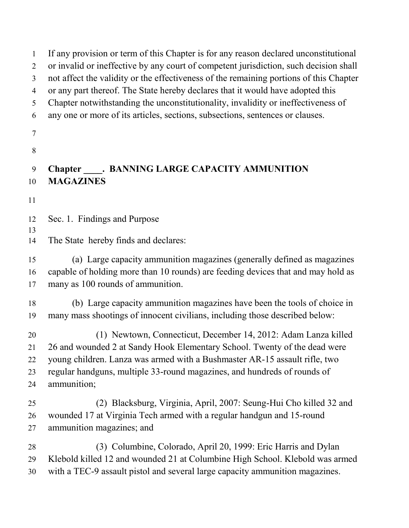If any provision or term of this Chapter is for any reason declared unconstitutional or invalid or ineffective by any court of competent jurisdiction, such decision shall not affect the validity or the effectiveness of the remaining portions of this Chapter or any part thereof. The State hereby declares that it would have adopted this Chapter notwithstanding the unconstitutionality, invalidity or ineffectiveness of any one or more of its articles, sections, subsections, sentences or clauses. **Chapter . BANNING LARGE CAPACITY AMMUNITION MAGAZINES**  Sec. 1. Findings and Purpose The State hereby finds and declares: (a) Large capacity ammunition magazines (generally defined as magazines capable of holding more than 10 rounds) are feeding devices that and may hold as many as 100 rounds of ammunition. (b) Large capacity ammunition magazines have been the tools of choice in many mass shootings of innocent civilians, including those described below: (1) Newtown, Connecticut, December 14, 2012: Adam Lanza killed 26 and wounded 2 at Sandy Hook Elementary School. Twenty of the dead were young children. Lanza was armed with a Bushmaster AR-15 assault rifle, two regular handguns, multiple 33-round magazines, and hundreds of rounds of ammunition; (2) Blacksburg, Virginia, April, 2007: Seung-Hui Cho killed 32 and wounded 17 at Virginia Tech armed with a regular handgun and 15-round ammunition magazines; and (3) Columbine, Colorado, April 20, 1999: Eric Harris and Dylan Klebold killed 12 and wounded 21 at Columbine High School. Klebold was armed with a TEC-9 assault pistol and several large capacity ammunition magazines.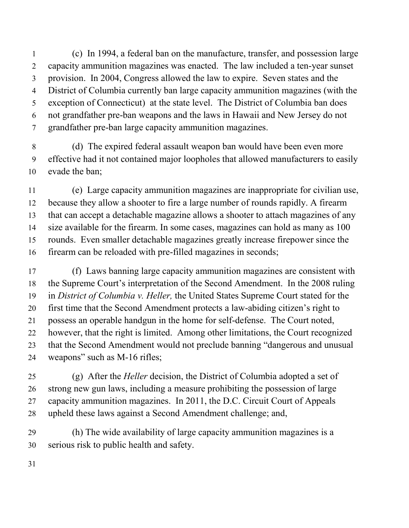(c) In 1994, a federal ban on the manufacture, transfer, and possession large capacity ammunition magazines was enacted. The law included a ten-year sunset provision. In 2004, Congress allowed the law to expire. Seven states and the District of Columbia currently ban large capacity ammunition magazines (with the exception of Connecticut) at the state level. The District of Columbia ban does not grandfather pre-ban weapons and the laws in Hawaii and New Jersey do not grandfather pre-ban large capacity ammunition magazines.

 (d) The expired federal assault weapon ban would have been even more effective had it not contained major loopholes that allowed manufacturers to easily evade the ban;

 (e) Large capacity ammunition magazines are inappropriate for civilian use, because they allow a shooter to fire a large number of rounds rapidly. A firearm that can accept a detachable magazine allows a shooter to attach magazines of any size available for the firearm. In some cases, magazines can hold as many as 100 rounds. Even smaller detachable magazines greatly increase firepower since the firearm can be reloaded with pre-filled magazines in seconds;

 (f) Laws banning large capacity ammunition magazines are consistent with the Supreme Court's interpretation of the Second Amendment. In the 2008 ruling in *District of Columbia v. Heller,* the United States Supreme Court stated for the first time that the Second Amendment protects a law-abiding citizen's right to possess an operable handgun in the home for self-defense. The Court noted, however, that the right is limited. Among other limitations, the Court recognized that the Second Amendment would not preclude banning "dangerous and unusual weapons" such as M-16 rifles;

 (g) After the *Heller* decision, the District of Columbia adopted a set of strong new gun laws, including a measure prohibiting the possession of large capacity ammunition magazines. In 2011, the D.C. Circuit Court of Appeals upheld these laws against a Second Amendment challenge; and,

 (h) The wide availability of large capacity ammunition magazines is a serious risk to public health and safety.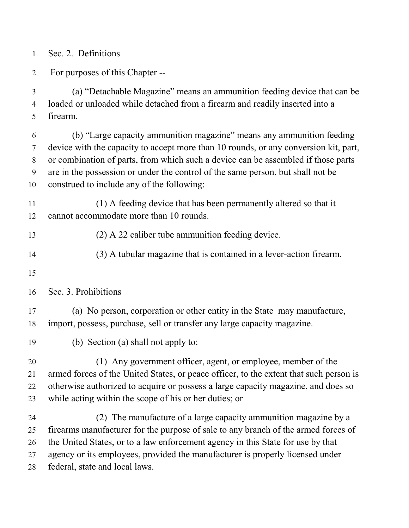Sec. 2. Definitions

For purposes of this Chapter --

 (a) "Detachable Magazine" means an ammunition feeding device that can be loaded or unloaded while detached from a firearm and readily inserted into a firearm.

 (b) "Large capacity ammunition magazine" means any ammunition feeding device with the capacity to accept more than 10 rounds, or any conversion kit, part, or combination of parts, from which such a device can be assembled if those parts are in the possession or under the control of the same person, but shall not be construed to include any of the following:

 (1) A feeding device that has been permanently altered so that it cannot accommodate more than 10 rounds.

(2) A 22 caliber tube ammunition feeding device.

(3) A tubular magazine that is contained in a lever-action firearm.

Sec. 3. Prohibitions

 (a) No person, corporation or other entity in the State may manufacture, import, possess, purchase, sell or transfer any large capacity magazine.

(b) Section (a) shall not apply to:

 (1) Any government officer, agent, or employee, member of the armed forces of the United States, or peace officer, to the extent that such person is otherwise authorized to acquire or possess a large capacity magazine, and does so while acting within the scope of his or her duties; or

 (2) The manufacture of a large capacity ammunition magazine by a firearms manufacturer for the purpose of sale to any branch of the armed forces of the United States, or to a law enforcement agency in this State for use by that agency or its employees, provided the manufacturer is properly licensed under federal, state and local laws.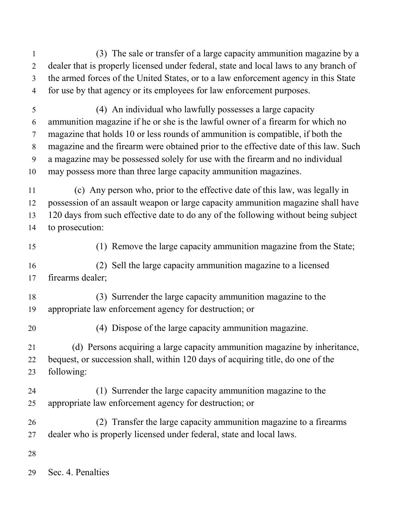- (3) The sale or transfer of a large capacity ammunition magazine by a dealer that is properly licensed under federal, state and local laws to any branch of the armed forces of the United States, or to a law enforcement agency in this State for use by that agency or its employees for law enforcement purposes.
- (4) An individual who lawfully possesses a large capacity ammunition magazine if he or she is the lawful owner of a firearm for which no magazine that holds 10 or less rounds of ammunition is compatible, if both the magazine and the firearm were obtained prior to the effective date of this law. Such a magazine may be possessed solely for use with the firearm and no individual may possess more than three large capacity ammunition magazines.
- (c) Any person who, prior to the effective date of this law, was legally in possession of an assault weapon or large capacity ammunition magazine shall have 120 days from such effective date to do any of the following without being subject to prosecution:
- 

(1) Remove the large capacity ammunition magazine from the State;

 (2) Sell the large capacity ammunition magazine to a licensed firearms dealer;

- (3) Surrender the large capacity ammunition magazine to the appropriate law enforcement agency for destruction; or
- 

(4) Dispose of the large capacity ammunition magazine.

 (d) Persons acquiring a large capacity ammunition magazine by inheritance, bequest, or succession shall, within 120 days of acquiring title, do one of the following:

- (1) Surrender the large capacity ammunition magazine to the appropriate law enforcement agency for destruction; or
- (2) Transfer the large capacity ammunition magazine to a firearms dealer who is properly licensed under federal, state and local laws.
- 

Sec. 4. Penalties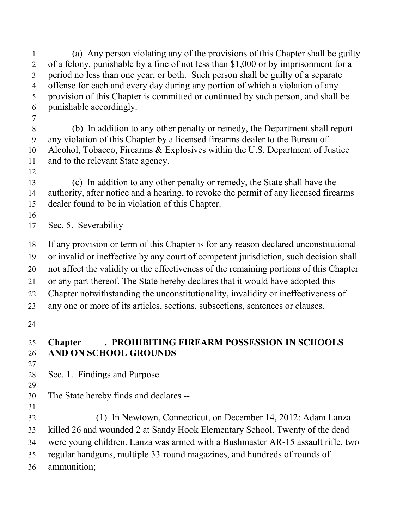(a) Any person violating any of the provisions of this Chapter shall be guilty of a felony, punishable by a fine of not less than \$1,000 or by imprisonment for a period no less than one year, or both. Such person shall be guilty of a separate offense for each and every day during any portion of which a violation of any provision of this Chapter is committed or continued by such person, and shall be punishable accordingly. (b) In addition to any other penalty or remedy, the Department shall report any violation of this Chapter by a licensed firearms dealer to the Bureau of Alcohol, Tobacco, Firearms & Explosives within the U.S. Department of Justice and to the relevant State agency. (c) In addition to any other penalty or remedy, the State shall have the authority, after notice and a hearing, to revoke the permit of any licensed firearms dealer found to be in violation of this Chapter. Sec. 5. Severability If any provision or term of this Chapter is for any reason declared unconstitutional or invalid or ineffective by any court of competent jurisdiction, such decision shall not affect the validity or the effectiveness of the remaining portions of this Chapter or any part thereof. The State hereby declares that it would have adopted this Chapter notwithstanding the unconstitutionality, invalidity or ineffectiveness of any one or more of its articles, sections, subsections, sentences or clauses. **Chapter \_\_\_\_. PROHIBITING FIREARM POSSESSION IN SCHOOLS AND ON SCHOOL GROUNDS**  Sec. 1. Findings and Purpose The State hereby finds and declares -- (1) In Newtown, Connecticut, on December 14, 2012: Adam Lanza killed 26 and wounded 2 at Sandy Hook Elementary School. Twenty of the dead were young children. Lanza was armed with a Bushmaster AR-15 assault rifle, two regular handguns, multiple 33-round magazines, and hundreds of rounds of ammunition;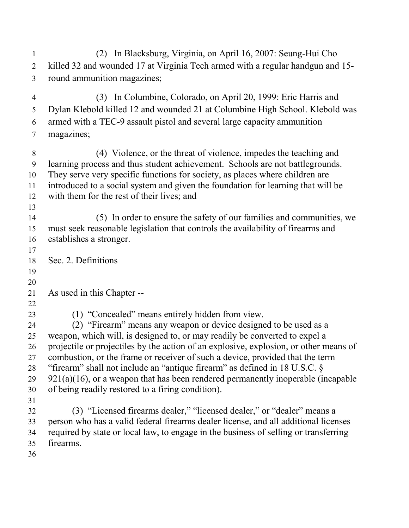(2) In Blacksburg, Virginia, on April 16, 2007: Seung-Hui Cho killed 32 and wounded 17 at Virginia Tech armed with a regular handgun and 15- round ammunition magazines; (3) In Columbine, Colorado, on April 20, 1999: Eric Harris and Dylan Klebold killed 12 and wounded 21 at Columbine High School. Klebold was armed with a TEC-9 assault pistol and several large capacity ammunition magazines; (4) Violence, or the threat of violence, impedes the teaching and learning process and thus student achievement. Schools are not battlegrounds. They serve very specific functions for society, as places where children are introduced to a social system and given the foundation for learning that will be with them for the rest of their lives; and (5) In order to ensure the safety of our families and communities, we must seek reasonable legislation that controls the availability of firearms and establishes a stronger. Sec. 2. Definitions As used in this Chapter -- (1) "Concealed" means entirely hidden from view. (2) "Firearm" means any weapon or device designed to be used as a weapon, which will, is designed to, or may readily be converted to expel a projectile or projectiles by the action of an explosive, explosion, or other means of combustion, or the frame or receiver of such a device, provided that the term "firearm" shall not include an "antique firearm" as defined in 18 U.S.C. § 921(a)(16), or a weapon that has been rendered permanently inoperable (incapable of being readily restored to a firing condition). (3) "Licensed firearms dealer," "licensed dealer," or "dealer" means a person who has a valid federal firearms dealer license, and all additional licenses required by state or local law, to engage in the business of selling or transferring firearms.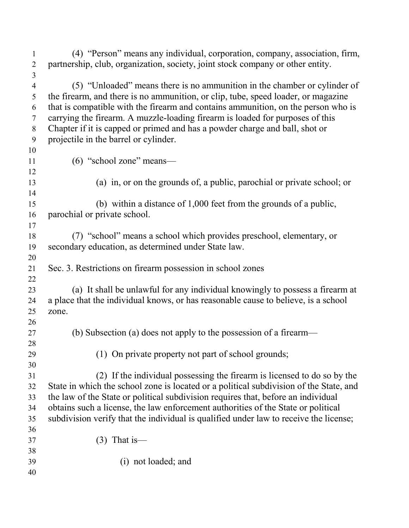| 1              | (4) "Person" means any individual, corporation, company, association, firm,            |
|----------------|----------------------------------------------------------------------------------------|
| $\overline{2}$ | partnership, club, organization, society, joint stock company or other entity.         |
| 3              |                                                                                        |
| $\overline{4}$ | (5) "Unloaded" means there is no ammunition in the chamber or cylinder of              |
| 5              | the firearm, and there is no ammunition, or clip, tube, speed loader, or magazine      |
| 6              | that is compatible with the firearm and contains ammunition, on the person who is      |
| $\tau$         | carrying the firearm. A muzzle-loading firearm is loaded for purposes of this          |
| 8              | Chapter if it is capped or primed and has a powder charge and ball, shot or            |
| 9              | projectile in the barrel or cylinder.                                                  |
| 10             |                                                                                        |
| 11             | (6) "school zone" means-                                                               |
| 12             |                                                                                        |
| 13             | (a) in, or on the grounds of, a public, parochial or private school; or                |
| 14             |                                                                                        |
| 15             | (b) within a distance of $1,000$ feet from the grounds of a public,                    |
| 16             | parochial or private school.                                                           |
| 17             |                                                                                        |
| 18             | (7) "school" means a school which provides preschool, elementary, or                   |
| 19             | secondary education, as determined under State law.                                    |
| 20             |                                                                                        |
| 21             | Sec. 3. Restrictions on firearm possession in school zones                             |
| 22             |                                                                                        |
| 23             | (a) It shall be unlawful for any individual knowingly to possess a firearm at          |
| 24             | a place that the individual knows, or has reasonable cause to believe, is a school     |
| 25             | zone.                                                                                  |
| 26             |                                                                                        |
| 27             | (b) Subsection (a) does not apply to the possession of a firearm—                      |
| 28             |                                                                                        |
| 29             | (1) On private property not part of school grounds;                                    |
| 30             |                                                                                        |
| 31             | (2) If the individual possessing the firearm is licensed to do so by the               |
| 32             | State in which the school zone is located or a political subdivision of the State, and |
| 33             | the law of the State or political subdivision requires that, before an individual      |
| 34             | obtains such a license, the law enforcement authorities of the State or political      |
| 35             | subdivision verify that the individual is qualified under law to receive the license;  |
| 36             |                                                                                        |
| 37             | $(3)$ That is —                                                                        |
| 38             | (i) not loaded; and                                                                    |
| 39<br>40       |                                                                                        |
|                |                                                                                        |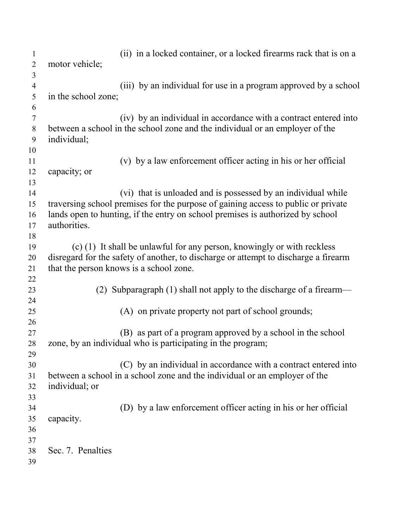| 1              | (ii) in a locked container, or a locked firearms rack that is on a                  |
|----------------|-------------------------------------------------------------------------------------|
| $\overline{2}$ | motor vehicle;                                                                      |
| 3              |                                                                                     |
| $\overline{4}$ | (iii) by an individual for use in a program approved by a school                    |
| 5              | in the school zone;                                                                 |
| 6              |                                                                                     |
| $\tau$         | (iv) by an individual in accordance with a contract entered into                    |
| 8              | between a school in the school zone and the individual or an employer of the        |
| 9              | individual;                                                                         |
| 10             |                                                                                     |
| 11             | (v) by a law enforcement officer acting in his or her official                      |
| 12             | capacity; or                                                                        |
| 13             |                                                                                     |
| 14             | (vi) that is unloaded and is possessed by an individual while                       |
| 15             | traversing school premises for the purpose of gaining access to public or private   |
| 16             | lands open to hunting, if the entry on school premises is authorized by school      |
| 17             | authorities.                                                                        |
| 18             |                                                                                     |
| 19             | $(c)$ (1) It shall be unlawful for any person, knowingly or with reckless           |
| 20             | disregard for the safety of another, to discharge or attempt to discharge a firearm |
| 21             | that the person knows is a school zone.                                             |
| 22             |                                                                                     |
| 23             | Subparagraph (1) shall not apply to the discharge of a firearm—<br>(2)              |
| 24             |                                                                                     |
| 25             | (A) on private property not part of school grounds;                                 |
| 26             |                                                                                     |
| 27             | (B) as part of a program approved by a school in the school                         |
| 28             | zone, by an individual who is participating in the program;                         |
| 29             |                                                                                     |
| 30             | (C) by an individual in accordance with a contract entered into                     |
| 31             | between a school in a school zone and the individual or an employer of the          |
| 32             | individual; or                                                                      |
| 33             |                                                                                     |
| 34             | (D) by a law enforcement officer acting in his or her official                      |
| 35             | capacity.                                                                           |
| 36             |                                                                                     |
| 37             |                                                                                     |
| 38             | Sec. 7. Penalties                                                                   |
| 39             |                                                                                     |